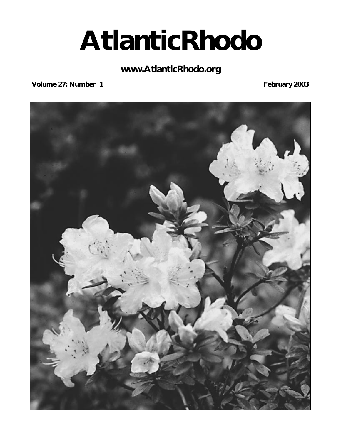# **AtlanticRhodo**

### **www.AtlanticRhodo.org**

**Volume 27: Number 1 February 2003** 

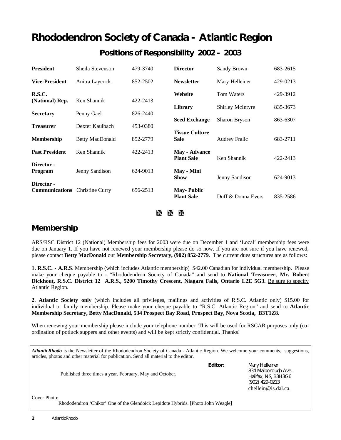# **Rhododendron Society of Canada - Atlantic Region Positions of Responsibility 2002 - 2003**

| <b>President</b>                    | Sheila Stevenson       | 479-3740 | <b>Director</b>                           | Sandy Brown             | 683-2615 |
|-------------------------------------|------------------------|----------|-------------------------------------------|-------------------------|----------|
| <b>Vice-President</b>               | Anitra Laycock         | 852-2502 | <b>Newsletter</b>                         | Mary Helleiner          | 429-0213 |
| R.S.C.                              | Ken Shannik            |          | Website                                   | <b>Tom Waters</b>       | 429-3912 |
| (National) Rep.                     |                        | 422-2413 | Library                                   | <b>Shirley McIntyre</b> | 835-3673 |
| <b>Secretary</b>                    | Penny Gael             | 826-2440 | <b>Seed Exchange</b>                      | Sharon Bryson           | 863-6307 |
| <b>Treasurer</b>                    | Dexter Kaulbach        | 453-0380 | <b>Tissue Culture</b>                     |                         |          |
| <b>Membership</b>                   | <b>Betty MacDonald</b> | 852-2779 | <b>Sale</b>                               | <b>Audrey Fralic</b>    | 683-2711 |
| <b>Past President</b>               | Ken Shannik            | 422-2413 | <b>May - Advance</b><br><b>Plant Sale</b> | Ken Shannik             | 422-2413 |
| Director -                          |                        |          |                                           |                         |          |
| <b>Program</b>                      | Jenny Sandison         | 624-9013 | May - Mini<br><b>Show</b>                 | Jenny Sandison          | 624-9013 |
| Director -<br><b>Communications</b> | <b>Christine Curry</b> | 656-2513 | <b>May-Public</b><br><b>Plant Sale</b>    | Duff & Donna Evers      | 835-2586 |

à à Ã

### **Membership**

ARS/RSC District 12 (National) Membership fees for 2003 were due on December 1 and 'Local' membership fees were due on January 1. If you have not renewed your membership please do so now. If you are not sure if you have renewed, please contact **Betty MacDonald** our **Membership Secretary, (902) 852-2779**. The current dues structures are as follows:

**1. R.S.C. - A.R.S**. Membership (which includes Atlantic membership) \$42.00 Canadian for individual membership. Please make your cheque payable to - "Rhododendron Society of Canada" and send to **National Treasurer, Mr. Robert** Dickhout, R.S.C. District 12 A.R.S., 5200 Timothy Crescent, Niagara Falls, Ontario L2E 5G3. Be sure to specify Atlantic Region.

**2**. **Atlantic Society only** (which includes all privileges, mailings and activities of R.S.C. Atlantic only) \$15.00 for individual or family membership. Please make your cheque payable to "R.S.C. Atlantic Region" and send to **Atlantic Membership Secretary, Betty MacDonald, 534 Prospect Bay Road, Prospect Bay, Nova Scotia, B3T1Z8.** 

When renewing your membership please include your telephone number. This will be used for RSCAR purposes only (coordination of potluck suppers and other events) and will be kept strictly confidential. Thanks!

| <i>AtlanticRhodo</i> is the Newsletter of the Rhododendron Society of Canada - Atlantic Region. We welcome your comments, suggestions,<br>articles, photos and other material for publication. Send all material to the editor. |         |                                                                                                       |
|---------------------------------------------------------------------------------------------------------------------------------------------------------------------------------------------------------------------------------|---------|-------------------------------------------------------------------------------------------------------|
| Published three times a year. February, May and October,                                                                                                                                                                        | Editor: | Mary Helleiner<br>834 Malborough Ave.<br>Halifax, NS, B3H3G6<br>(902) 429-0213<br>chellein@is.dal.ca. |
| Cover Photo:<br>Rhododendron 'Chikor' One of the Glendoick Lepidote Hybrids. [Photo John Weagle]                                                                                                                                |         |                                                                                                       |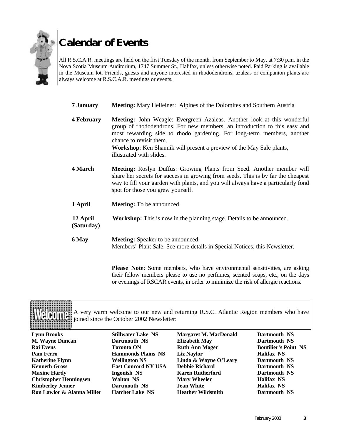

# **Calendar of Events**

All R.S.C.A.R. meetings are held on the first Tuesday of the month, from September to May, at 7:30 p.m. in the Nova Scotia Museum Auditorium, 1747 Summer St., Halifax, unless otherwise noted. Paid Parking is available in the Museum lot. Friends, guests and anyone interested in rhododendrons, azaleas or companion plants are always welcome at R.S.C.A.R. meetings or events.

- **7 January Meeting:** Mary Helleiner: Alpines of the Dolomites and Southern Austria
- **4 February Meeting:** John Weagle: Evergreen Azaleas. Another look at this wonderful group of rhododendrons. For new members, an introduction to this easy and most rewarding side to rhodo gardening. For long-term members, another chance to revisit them. **Workshop**: Ken Shannik will present a preview of the May Sale plants, illustrated with slides.
- **4 March Meeting:** Roslyn Duffus: Growing Plants from Seed. Another member will share her secrets for success in growing from seeds. This is by far the cheapest way to fill your garden with plants, and you will always have a particularly fond spot for those you grew yourself.
- **1 April Meeting:** To be announced
- **12 April Workshop:** This is now in the planning stage. Details to be announced.  **(Saturday)**
- **6 May Meeting:** Speaker to be announced. Members' Plant Sale. See more details in Special Notices, this Newsletter.

**Please Note**: Some members, who have environmental sensitivities, are asking their fellow members please to use no perfumes, scented soaps, etc., on the days or evenings of RSCAR events, in order to minimize the risk of allergic reactions.

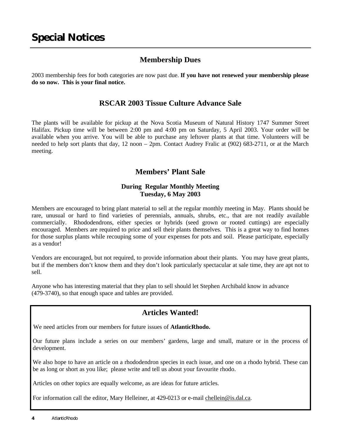### **Membership Dues**

2003 membership fees for both categories are now past due. **If you have not renewed your membership please do so now. This is your final notice.**

### **RSCAR 2003 Tissue Culture Advance Sale**

The plants will be available for pickup at the Nova Scotia Museum of Natural History 1747 Summer Street Halifax. Pickup time will be between 2:00 pm and 4:00 pm on Saturday, 5 April 2003. Your order will be available when you arrive. You will be able to purchase any leftover plants at that time. Volunteers will be needed to help sort plants that day, 12 noon – 2pm. Contact Audrey Fralic at (902) 683-2711, or at the March meeting.

### **Members' Plant Sale**

### **During Regular Monthly Meeting Tuesday, 6 May 2003**

Members are encouraged to bring plant material to sell at the regular monthly meeting in May. Plants should be rare, unusual or hard to find varieties of perennials, annuals, shrubs, etc., that are not readily available commercially. Rhododendrons, either species or hybrids (seed grown or rooted cuttings) are especially encouraged. Members are required to price and sell their plants themselves. This is a great way to find homes for those surplus plants while recouping some of your expenses for pots and soil. Please participate, especially as a vendor!

Vendors are encouraged, but not required, to provide information about their plants. You may have great plants, but if the members don't know them and they don't look particularly spectacular at sale time, they are apt not to sell.

Anyone who has interesting material that they plan to sell should let Stephen Archibald know in advance (479-3740), so that enough space and tables are provided.

### **Articles Wanted!**

We need articles from our members for future issues of **AtlanticRhodo.**

Our future plans include a series on our members' gardens, large and small, mature or in the process of development.

We also hope to have an article on a rhododendron species in each issue, and one on a rhodo hybrid. These can be as long or short as you like; please write and tell us about your favourite rhodo.

Articles on other topics are equally welcome, as are ideas for future articles.

For information call the editor, Mary Helleiner, at 429-0213 or e-mail chellein@is.dal.ca.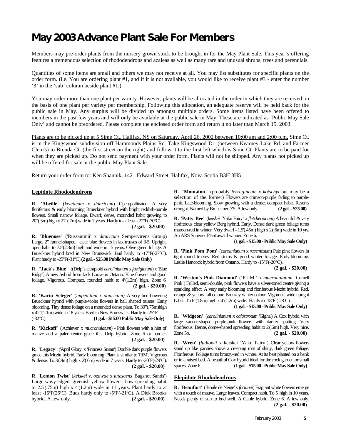# **May 2003 Advance Plant Sale For Members**

Members may pre-order plants from the nursery grown stock to be brought in for the May Plant Sale. This year's offering features a tremendous selection of rhododendrons and azaleas as well as many rare and unusual shrubs, trees and perennials.

Quantities of some items are small and others we may not receive at all. You may list substitutes for specific plants on the order form. (i.e. You are ordering plant #1, and if it is not available, you would like to receive plant #3 - enter the number '3' in the 'sub' column beside plant #1.)

You may order more than one plant per variety. However, plants will be allocated in the order in which they are received on the basis of one plant per variety per membership. Following this allocation, an adequate reserve will be held back for the public sale in May. Any surplus will be divided up amongst multiple orders. Some items listed have been offered to members in the past few years and will only be available at the public sale in May. These are indicated as 'Public May Sale Only' and cannot be preordered. Please complete the enclosed order form and return it no later than March 15, 2003.

Plants are to be picked up at 5 Sime Ct., Halifax, NS on Saturday, April 26, 2002 between 10:00 am and 2:00 p.m. Sime Ct. is in the Kingswood subdivision off Hammonds Plains Rd. Take Kingswood Dr. (between Kearney Lake Rd. and Farmer Clem's) to Brenda Ct. (the first street on the right) and follow it to the first left which is Sime Ct. Plants are to be paid for when they are picked up. Do not send payment with your order form. Plants will not be shipped. Any plants not picked up will be offered for sale at the public May Plant Sale.

Return your order form to: Ken Shannik, 1421 Edward Street, Halifax, Nova Scotia B3H 3H5

#### **Lepidote Rhododendrons**

**R. 'Abeille'** (*keleticum* x *dauricum*) Open-pollinated. A very floriferous & early blooming Brueckner hybrid with bright reddish-purple flowers. Small narrow foliage. Dwarf, dense, mounded habit growing to 20"(.5m) high x 27"(.7m) wide in 7 years. Hardy to at least - 22ºF(-30ºC). **(2 gal. - \$20.00)**

**R. 'Bluenose'** ('Russautinii' x *dauricum* Sempervirens Group) Large, 2" funnel-shaped, clear blue flowers in lax trusses of 3-5. Upright, open habit to 7.5'(2.3m) high and wide in 15 years. Olive green foliage. A Brueckner hybrid bred in New Brunswick. Bud hardy to -17°F(-27°C). Plant hardy to -25ºF(-31ºC).**(2 gal.- \$25.00 Public May Sale Only)**

**R. "Jack's Blue"** [(Delp's tetraploid *carolinianum* x *fastigiatum*) x 'Blue Ridge'] A new hybrid from Jack Looye in Ontario. Blue flowers and good foliage. Vigorous. Compact, rounded habit to 4'(1.2m) high. Zone 6.  **(2 gal. - \$20.00)**

**R. 'Karin Seleger'** (*impeditum* x *dauricum)* A very free flowering Brueckner hybrid with purple-violet flowers in ball shaped trusses. Early blooming. Tiny dense foliage on a mounded dense plant. To 30"(.75m)high x 42"(1.1m) wide in 18 years. Bred in New Brunswick. Hardy to -25°F (-32°C). **(1 gal. - \$15.00 Public May Sale Only)**

**R. 'Kickoff'** ('Achiever' x *mucronulatum*) - Pink flowers with a hint of mauve and a paler center grace this Delp hybrid. Zone 6 or hardier.  **(2 gal. - \$20.00)**

**R. 'Legacy'** ('April Glory' x 'Princess Susan') Double dark purple flowers grace this Mezitt hybrid. Early blooming. Plant is similar to 'PJM'. Vigorous & dense. To  $3'(.9m)$  high x  $2'(.6m)$  wide in 7 years. Hardy to  $-20^{\circ}$ F( $-29^{\circ}$ C). **(2 gal. - \$20.00)**

**R. 'Lemon Twist'** (*keiskei* v. *ozawae* x *lutescens* 'Bagshot Sands') Large wavy-edged, greenish-yellow flowers. Low spreading habit to 2.5'(.75m) high x 4'(1.2m) wide in 11 years. Plant hardy to at least -16ºF(26ºC). Buds hardy only to -5ºF(-21ºC). A Dick Brooks hybrid. A few only. **(2 gal. - \$20.00)**

**R. "Montafon"** (probably *ferrugineum* x *kotschyi* but may be a selection of the former) Flowers are crimson-purple fading to purplepink. Late-blooming. Slow growing with a dense, compact habit. Resents drought. Named by Brueckner. Z5. A few only. **(2 gal. - \$25.00)**

**R. 'Patty Bee'** (*keiskei '*Yaku Fairy' x *fletcherianum*) A beautiful & very floriferous clear yellow Berg hybrid. Early. Dense dark green foliage turns maroon-red in winter. Very dwarf - 1.5'(.45m) high x 2'(.6m) wide in 10 yrs. An ARS Superior Plant award winner. Zone 6.

#### **(1 gal. - \$15.00 - Public May Sale Only)**

**R. 'Pink Pom Pom'** (*carolinianum* x *racemosum*) Pale pink flowers in tight round trusses. Red stems & good winter foliage. Early-blooming. Leslie Hancock hybrid from Ontario. Hardy to -15°F(-26°C).

**(2 gal. - \$20.00)**

**R. 'Weston's Pink Diamond'** ('P.J.M.' x *mucronulatum* 'Cornell Pink') Frilled, semi-double, pink flowers have a silver-toned centre giving a sparkling effect. A very early blooming and floriferous Mezitt hybrid. Red, orange & yellow fall colour. Bronzey winter colour. Vigorous, wide upright habit. To  $6'(1.8m)$  high x  $4'(1.2m)$  wide. Hardy to  $-18°F$  ( $-28°C$ ).

#### **(1 gal. - \$15.00 - Public May Sale Only)**

**R. 'Widgeon'** (*carolinianum* x *calostrotum* 'Gigha') A Cox hybrid with large saucer-shaped purple-pink flowers with darker spotting. Very floriferous. Dense, dome-shaped spreading habit to 2'(.6m) high. Very nice. Zone 5b. **(2 gal. - \$20.00)**

**R. 'Wren'** (*ludlowii* x keiskei 'Yaku Fairy') Clear yellow flowers stand up like pansies above a creeping mat of shiny, dark green foliage. Floriferous. Foliage turns bronzy-red in winter. At its best planted on a bank or in a raised bed. A beautiful Cox hybrid ideal for the rock garden or small spaces. Zone 6. **(1 gal. - \$15.00 - Public May Sale Only)**

#### **Elepidote Rhododendrons**

**R. 'Beaufort'** ('Boule de Neige' x *fortunei*) Fragrant white flowers emerge with a touch of mauve. Large leaves. Compact habit. To 5' high in 10 years. Needs plenty of sun to bud well. A Gable hybrid. Zone 6. A few only. **(2 gal. - \$20.00)**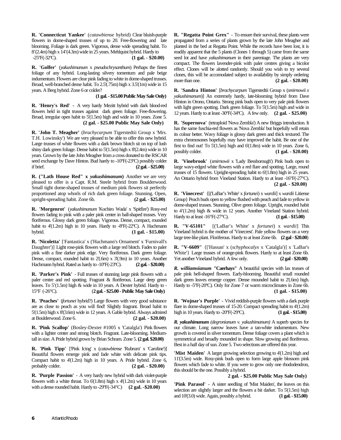**R. 'Connecticut Yankee'** (*catawbiense* hybrid) Clear bluish-purple flowers in dome-shaped trusses of up to 20. Free-flowering and late blooming. Foliage is dark green. Vigorous, dense wide spreading habit. To 8'(2.4m) high x 14'(4.3m) wide in 25 years. Mehlquist hybrid. Hardy to -25ºF(-32ºC). **(1 gal. - \$20.00)**

**R. 'Golfer'** (*yakushimanum* x *pseudochrysanthum*) Perhaps the finest foliage of any hybrid. Long-lasting silvery tomentum and pale beige indumentum. Flowers are clear pink fading to white in dome-shaped trusses. Broad, well-branched dense habit. To 2.5'(.75m) high x 3.5'(1m) wide in 15 years. A Berg hybrid. Zone 6 or colder?

#### **(1 gal. - \$15.00 Public May Sale Only)**

**R. 'Henry's Red' -** A very hardy Mezitt hybrid with dark blood-red flowers held in tight trusses against dark green foliage. Free-flowering. Broad, irregular open habit to 5'(1.5m) high and wide in 10 years. Zone 5. **(2 gal. - \$25.00 Public May Sale Only)**

**R. 'John T. Meagher'** (*brachycarpum* Tigerstedtii Group x 'Mrs. T.H. Lowinsky') We are very pleased to be able to offer this new hybrid. Large trusses of white flowers with a dark brown blotch sit on top of lush shiny dark green foliage. Dense habit to 5'(1.5m) high x 8'(2.4m) wide in 10 years. Grown by the late John Meagher from a cross donated to the RSCAR seed exchange by Dave Hinton. Bud hardy to -10°F(-23°C) possibly colder if brief. **(2 gal. - \$25.00)**

**R. ("Lath House Red" x** *yakushimanum***)** Another we are very pleased to offer is a Capt. R.M. Steele hybrid from Boulderwood. Small tight dome-shaped trusses of medium pink flowers sit perfectly proportioned atop whorls of rich dark green foliage. Stunning. Open, upright-spreading habit. Zone 6b. **(2 gal. - \$25.00)**

**R. 'Morgenrot'** (*yakushimanum* 'Kochiro Wada' x 'Spitfire') Rosy-red flowers fading to pink with a paler pink center in ball-shaped trusses. Very floriferous. Glossy dark green foliage. Vigorous. Dense, compact, rounded habit to 4'(1.2m) high in 10 years. Hardy to -8°F(-22°C). A Hachmann hybrid. **(1 gal. - \$15.00)**

**R. 'Nicoletta'** ['Fantastica' x ('Hachmann's Ornament' x 'Furnivall's Daughter')] Light rose-pink flowers with a large red blotch. Fades to paler pink with a fine darker pink edge. Very floriferous. Dark green foliage. Dense, compact, rounded habit to 2'(.6m) x 3'(.9m) in 10 years. Another Hachmann hybrid. Rated as hardy to -10ºF(-23ºC). **(2 gal. - \$20.00)**

**R. 'Parker's Pink'** - Full trusses of stunning large pink flowers with a paler centre and red spotting. Fragrant & floriferous. Large deep green leaves. To 5'(1.5m) high & wide in 10 years. A Dexter hybrid. Hardy to - 15°F (-26°C). (**2 gal. - \$25.00 - Public May Sale Only)**

**R. 'Peaches'** (*fortunei* hybrid?) Large flowers with very good substance are as close to peach as you will find! Slightly fragrant. Broad habit to 5'(1.5m) high x 8'(3.6m) wide in 12 years. A Gable hybrid. Always admired at Boulderwood. Zone 6. **(2 gal. - \$20.00)**

**R. 'Pink Scallop'** (Bosley-Dexter #1005 x 'Catalgla') Pink flowers with a lighter center and strong blotch. Fragrant. Late-blooming. Mediumtall in size. A Pride hybrid grown by Brian Schram. Zone 5. **(2 gal. \$20.00)**

**R. 'Pink Tipp'** ['Pink Icing' x (*catawbiense* 'Rubrum' x 'Caroline')] Beautiful flowers emerge pink and fade white with delicate pink tips. Compact habit to 4'(1.2m) high in 10 years. A Pride hybrid. Zone 6, probably colder. **(2 gal. - \$20.00)**

**R. 'Purple Passion'** - A very hardy new hybrid with dark violet-purple flowers with a white throat. To  $6(1.8m)$  high x  $4(1.2m)$  wide in 10 years with a dense rounded habit. Hardy to -29ºF(-34ºC) **(2 gal. -\$20.00)**

**R. "Regatta Point Grex"** - To ensure their survival, these plants were propagated from a series of plants grown by the late John Meagher and planted in the bed at Regatta Point. While the records have been lost, it is readily apparent that the 5 plants (Clones 1 through 5) came from the same seed lot and have *yakushimanum* in their parentage. The plants are very compact. The flowers lavender-pink with paler centres giving a bicolor effect. Clones will be alotted randomly. Should you wish to try several clones, this will be accomodated subject to availability by simply ordering more than one. **(2 gal. - \$20.00)** 

**R. 'Sandra Hinton'** [*brachycarpum* Tigerstedtii Group x (*smirnowii x yakushimanum*)] An extremely hardy, late-blooming hybrid from Dave Hinton in Orono, Ontario. Strong pink buds open to very pale pink flowers with light green spotting. Dark green foliage. To 5'(1.5m) high and wide in 12 years. Hardy to at least -30ºF(-34ºC). A few only. **(2 gal. - \$25.00)**

**R. 'Supernova'** (tetraploid 'Nova Zembla') A new Briggs introduction. It has the same fuschia-red flowers as 'Nova Zembla' but hopefully will retain its colour better. Wavy foliage is glossy dark green and thick textured. The extra chromosones hopefully may have improved the habit. Be one of the first to find out! To 5'(1.5m) high and 6'(1.8m) wide in 10 years. Zone 6, possibly colder. **(1 gal. - \$20.00)**

**R. 'Vinebrook'** (*smirnowii* x 'Lady Bessborough') Pink buds open to large wavy-edged white flowers with a red flare and spotting. Large, round trusses of 15 flowers. Upright-spreading habit to 6'(1.8m) high in 25 years. An Ontario hybrid from Vineland Station. Hardy to at least -16°F(-27°C).  **(2 gal. - \$20.00)**

**R. 'Vinecrest'** {[('LaBar's White' x *fortunei*) x *wardii*] x *wardii* Litiense Group} Peach buds open to yellow flushed with peach and fade to yellow in dome-shaped trusses. Stunning. Olive green foliage. Upright, rounded habit to 4'(1.2m) high & wide in 12 years. Another Vineland Station hybrid. Hardy to at least -16°F(-27°C). **(1 gal. - \$15.00)**

**R. "V-65101"** [('LaBar's White' x *fortunei*) x *wardii*] This Vineland hybrid is the mother of 'Vinecrest'. Pale yellow flowers on a very large tree-like plant. Floriferous. Hardy to at least Zone 6b. **(2 gal - \$20.00**)

**R. "V-6609"** {['Hassan' x (*schyphocalyx* x 'Catalgla')] x 'LaBar's White'} Large trusses of orange-pink flowers. Hardy to at least Zone 6b. Yet another Vineland hybrid. A few only. **(2 gal - \$20.00)** 

*R. williamsianum* **"Caerhays"** A beautiful species with lax trusses of pale pink bell-shaped flowers. Early-blooming. Beautiful small rounded dark green leaves emerge copper. Dense mounded habit to 2'(.6m) high. Hardy to -5ºF(-20ºC). Only for Zone 7 or warm microclimates in Zone 6b. **(1 gal. - \$15.00)**

**R. 'Wojnar's Purple'** - Vivid reddish-purple flowers with a dark purple flare in dome-shaped trusses of 15-20. Compact spreading habit to 4'(1.2m) high in 10 years. Hardy to -20ºF(-29ºC). **(1 gal. - \$15.00)**

*R. yakushimanum (degronianum v. yakushimanum)* A superb species for our climate. Long narrow leaves have a tan-white indumentum. New growth is covered in silver tomentum. Dense foliage covers a plant which is symmetrical and broadly mounded in shape. Slow growing and floriferous. Best in a half day of sun. Zone 5. Two selections are offered this year.

**'Mist Maiden'** A larger growing selection growing to 4'(1.2m) high and 11'(3.5m) wide. Rosy-pink buds open to form large apple blossom pink flowers which fade to white. If you were to grow only one rhododendron, this should be the one. Possibly a hybrid.

#### **2 gal. - \$25.00 Public May Sale Only)**

**'Pink Parasol'** - A sister seedling of 'Mist Maiden', the leaves on this selection are slightly larger and the flowers a bit darker. To 5'(1.5m) high and 10'(3.0) wide. Again, possibly a hybrid. **(1 gal. - \$15.00)**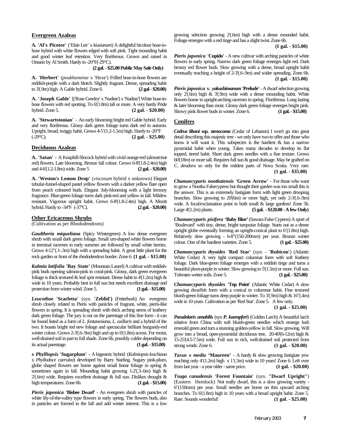#### **Evergreen Azaleas**

**A. 'Al's Picotee'** ('Elsie Lee' x *kiusianum*) A delightful bicolour hose-inhose hybrid with white flowers edged with soft pink. Tight mounding habit and good winter leaf retention. Very floriferous. Grown and raised in Ontario by Al Smith. Hardy to -20°F(-29°C).

 **(2 gal. - \$25.00 Public May Sale Only)**

**A. 'Herbert'** (*poukhanense* x 'Hexe') Frilled hose-in-hose flowers are reddish-purple with a dark blotch. Slightly fragrant. Dense, spreading habit to 3'(.9m) high. A Gable hybrid. Zone 6. **(2 gal - \$20.00)**

**A. 'Joseph Gable'** [('Rose Greeley' x 'Nadine') x 'Nadine'] White hose-inhose flowers with red spotting. To  $6(1.8m)$  tall or more. A very hardy Pride<br>hybrid. Zone 5. (2 gal. - \$20.00) hybrid. Zone 5. **(2 gal. - \$20.00)**

**A. 'Stewartstonian'** - An early blooming bright red Gable hybrid. Early and very floriferous. Glossy dark green foliage turns dark red in autumn. Upright, broad, twiggy habit. Grows 4-5'(1.2-1.5m) high. Hardy to -20°F (-29°C). **(2 gal. - \$25.00)**

#### **Deciduous Azaleas**

**A. 'Satan' -** A Knaphill-Slocock hybrid with vivid orange-red (almost true red) flowers. Late blooming. Bronze fall colour. Grows  $6-8'(1.8-2.4m)$  high and  $4-6'(1.2-1.8m)$  wide. Zone 5 (2 gal. - \$20.00) and  $4-6(1.2-1.8m)$  wide. Zone 5

**A. 'Weston's Lemon Drop'** (*viscosum* hybrid x unknown) Elegant tubular-funnel-shaped pastel yellow flowers with a darker yellow flare open from peach coloured buds. Elegant. July-blooming with a light lemony fragrance. Blue-green foliage turns dark pink-red and yellow in fall. Mildew resistant. Vigorous upright habit. Grows 6-8'(1.8-2.4m) high. A Mezitt hybrid. Hardy to -34°F (-37°C). (2 gal. - \$20.00) hybrid. Hardy to -34°F (-37°C).

#### **Other Ericaceous Shrubs**

(Cultivation as per Rhododendrons)

*Gaultheria miqueliana* (Spicy Wintergreen) A low dense evergreen shrub with small dark green foliage. Small urn-shaped white flowers borne in terminal racemes in early summer are followed by small white berries. Grows 4-12"(.1-.3m) high with a spreading habit. A great little plant for the rock garden or front of the rhododendron border. Zone 6. **(1 gal. - \$15.00)**

*Kalmia latifolia* **'Bay State'** (Mountain Laurel) A cultivar with reddishpink buds opening salmon-pink to coral-pink. Glossy, dark green evergreen foliage is thick textured  $\&$  leaf spot resistant. Dense habit to 4'(1.2m) high  $\&$ wide in 10 years. Probably best in full sun but needs excellent drainage and protection from winter wind. Zone 5. **(1 gal. - \$15.00)** 

*Leucothoe* **'Scarletta'** (syn. **'Zeblid')** (Fetterbush) An evergreen shrub closely related to Pieris with panicles of fragrant, white, pieris-like flowers in spring. It is spreading shrub with thick arching stems of leathery dark green foliage. The jury is out on the parentage of this fine form - it can be found listed as a form of *L. fontanesiana*, *L. axillaris* and a hybrid of the two. It boasts bright red new foliage and spectacular brilliant burgundy-red winter colour. Grows 2-3'(.6-.9m) high and up to  $6'(1.8m)$  across. For moist, well-drained soil in part to full shade. Zone 6b, possibly colder depending on its actual parentage. **(1 gal. - \$15.00)**

*x Phylliopsis* **'Sugarplum'** - A bigeneric hybrid (*Kalmiopsis leachiana* x *Phyllodoce caerulea*) developed by Barry Starling. Sugary pink-plum, globe shaped flowers are borne against small linear foliage in spring & sometimes again in fall. Mounding habit growing 1-2'(.3-.6m) high &  $2'$ (.6m) wide. Requires excellent drainage & full sun. Dislikes drought  $\&$ high temperatures. Zone 6b. **(1 gal. - \$15.00)**

*Pieris japonica* **'Bisbee Dwarf'** - An evergreen shrub with panicles of white lily-of-the-valley type flowers in early spring. The flowers buds, also in panicles are formed in the fall and add winter interest. This is a low growing selection growing 2'(.6m) high with a dense mounded habit. Foliage emerges with a red tinge and has a slight twist. Zone 6b.

 **(1 gal. - \$15.00)**

*Pieris japonica* **'Cupido'** - A new cultivar with arching panicles of white flowers in early spring. Narrow dark green foliage emerges light red. Dark bronzy red flower buds. Slow growing with a dense, broad upright habit eventually reaching a height of 2-3'(.6-.9m) and wider spreading. Zone 6b. **(1 gal. - \$15.00)**

*Pieris japonica* **v***. yakushimanum* **'Prelude'**- A dwarf selection growing only 2'(.6m) high & 3'(.9m) wide with a dense mounding habit. White flowers borne in upright-arching racemes in spring. Floriferous. Long lasting & later blooming than most. Glossy dark green foliage emerges bright pink. Showy pink flower buds in winter. Zone 6. **(1 gal. - \$15.00)**

#### **Conifers**

*Cedrus libani* **ssp.** *stenocoma* (Cedar of Lebanon) I won't go into great detail describing this majestic tree - we only have two to offer and those who know it will want it. This subspecies is the hardiest & has a narrow pyramidal habit when young. Takes many decades to develop its flat topped, tiered habit. Short dark green needles with a fine texture. Grows  $60(18m)$  or more tall. Requires full sun & good drainage. May be grafted on *C. deodora* so only for the mildest parts of Nova Scotia. Very rare. **(1 gal. - \$35.00)**

*Chamaecyparis nootkatensis* **'Green Arrow'** - For those who want to grow a Nootka Falsecypress but thought their garden was too small this is the answer. This is an extremely fastigiate form with light green drooping branches. Slow growing to 20'(6m) or more high, yet only 2-3'(.6-.9m) wide. A focal/exclamation point in both small & large gardens! Zone 5b. Large 4'(1.2m) plants. **(5 gal. - \$120.00 - A few Only)**

*Chamaecyparis pisifera* **'Baby Blue'** (Sawara False Cypress) A sport of 'Boulevard' with tiny, dense, bright turquoise foliage. Starts out as a dense upright globe eventually forming an upright-conical plant to 6'(1.8m) high. Relatively slow growing - 6-8"(150-200mm) per year. Bronze winter colour. One of the hardiest varieties. Zone 5. **(1 gal. - \$25.00)**

*Chamaecyparis thyoides* **'Red Star'** (syn. - **'Rubicon'**) (Atlantic White Cedar) A very tight compact columnar form with soft feathery foliage. Dark blue-green foliage emerges with a reddish tinge and turns a beautiful plum-purple in winter. Slow growing to 5'(1.5m) or more. Full sun. Tolerates wetter soils. Zone 5. **(1 gal. - \$25.00)**

*Chamaecyparis thyoides* **'Top Point'** (Atlantic White Cedar) A slow growing dwarfish form with a conical to columnar habit. Fine textured bluish-green foliage turns deep purple in winter. To 3'(.9m) high & 16"(.4m) wide in 10 years. Cultivation as per 'Red Star'. Zone 5. A few only.

**(1 gal. - \$25.00)**

*Pseudolarix amabilis* (syn *P***.** *kaempferi*) (Golden Larch) A beautiful larch relative from China with soft bluish-green needles which emerge lush emerald green and turn a stunning golden-yellow in fall. Slow growing. Will grow into a broad, open-pyramidal deciduous tree, 20-40'(6-12m) high & 15-25'(4.5-7.5m) wide. Full sun in rich, well-drained soil protected from strong winds. Zone 6. **(1 gal. - \$20.00)**

*Taxus x media* **'Maureen'** - A hardy & slow growing fastigiate yew reaching only 4'(1.2m) high x 1'(.3m) wide in 10 years! Zone 6. Left over from last year - a year older - same price. **(1 gal. - \$20.00)**

*Tsuga canadensis* **'Forest Fountain'** (syn. **"Dwarf Upright"**) (Eastern Hemlock) Not really dwarf, this is a slow growing variety - 6"(150mm) per year. Small needles are borne on thin upward arching branches. To 6'(1.8m) high in 10 years with a broad upright habit. Zone 5. Rare. Sounds wonderful! **(1 gal. - \$25.00)**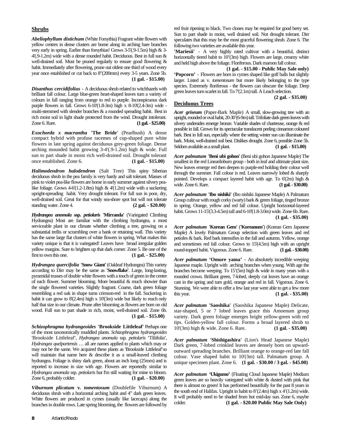#### **Shrubs**

*Abeliophyllum distichum* (White Forsythia) Fragrant white flowers with yellow centres in dense clusters are borne along its arching bare branches very early in spring. Earlier than forsythias! Grows 3-5'(.9-1.5m) high & 3- 4'(.9-1.2m) wide with a dense rounded habit. Deciduous. Best in full sun & well-drained soil. Must be pruned regularly to ensure good flowering & habit. Immediately after flowering, prune out oldest one third of wood every year once established or cut back to 8"(200mm) every 3-5 years. Zone 5b. **(1 gal. - \$15.00)**

*Disanthus cercidifolius* - A deciduous shrub related to witchhazels with brilliant fall colour. Large blue-green heart-shaped leaves turn a variety of colours in fall ranging from orange to red to purple. Inconspicuous dark purple flowers in fall. Grows 6-10'(1.8-3m) high x 8-10'(2.4-3m) wide multi-stemmed with slender branches & a rounded spreading habit. Best in rich moist soil in light shade protected from the wind. Drought intolerant. Zone 6. Rare. **(1 gal. - \$25.00)**

*Exochorda x macrantha* **'The Bride'** (Pearlbush) A dense compact hybrid with profuse racemes of cup-shaped pure white flowers in late spring against deciduous grey-green foliage. Dense arching mounded habit growing 3-4'(.9-1.2m) high & wide. Full sun to part shade in moist rich well-drained soil. Drought tolerant once established. Zone 6. **(1 gal. - \$15.00)**

*Halimodendron halodendron* (Salt Tree) This spiny Siberian deciduous shrub in the pea family is very hardy and salt tolerant. Masses of pink to violet pea-like flowers are borne in early summer against silvery pealike foliage. Grows  $4-6(1.2-1.8m)$  high &  $4'(1.2m)$  wide with a suckering upright-spreading habit. Very drought tolerant. For full sun in poor, dry, well-drained soil. Great for that windy sea-shore spot but will not tolerate standing water. Zone 4. **(2 gal. - \$20.00)**

*Hydrangea anomola* **ssp.** *petiolaris* **'Mirranda'** (Variegated Climbing Hydrangea) Most are familiar with the climbing hydrangea, a most serviceable plant in our climate whether climbing a tree, growing on a substantial trellis or scrambling over a bank or retaining wall. This variety has the same large flat clusters of white flowers in spring. What makes this variety unique is that it is variegated! Leaves have broad irregular golden yellow margins. Sure to brighten up that dark corner. Zone 5. Be one of the first to own this one. **(1 gal. - \$25.00)**

*Hydrangea quercifolia* **'Snow Giant'** (Oakleaf Hydrangea) This variety according to Dirr may be the same as **'Snowflake'**. Large, long-lasting, pyramidal trusses of double white flowers with a touch of green in the center of each flower. Summer blooming. More beautiful & much showier than the single flowered varieties. Slightly fragrant. Coarse, dark green foliage resembling a red oak in shape turns crimson-red in the fall. Suckering in habit it can grow to 8'(2.4m) high x 10'(3m) wide but likely to reach only half that size in our climate. Prune after blooming as flowers are born on old wood. Full sun to part shade in rich, moist, well-drained soil. Zone 6b. **(1 gal. - \$15.00)**

*Schizophragma hydrangeoides* **'Brookside Littleleaf'** Perhaps one of the most taxonomically muddled plants. *Schizophragma hydrangeoides* 'Brookside Littleleaf**'**, *Hydrangea anomala* ssp. *petiolaris* **'**Tiliifolia**'**, *Hydrangea quelpartensis* … all are names applied to plants which may or may not be the same. We acquired these plants as 'Brookside Littleleaf**'**so will maintain that name here & describe it as a small-leaved climbing hydrangea. Foliage is shiny dark green, about an inch long (25mm) and is reported to increase in size with age. Flowers are reportedly similar to *Hydrangea anomala* ssp. *petiolaris* but I'm still waiting for mine to bloom. Zone 6, probably colder. **(1 gal. - \$20.00)**

*Viburnum plicatum* **v***. tomentosum* (Doublefile Viburnum) A deciduous shrub with a horizontal arching habit and 4" dark green leaves. White flowers are produced in cymes (usually like lacecaps) along the branches in double rows. Late spring blooming, the flowers are followed by

red fruit ripening to black. Two clones may be required for good berry set. Sun to part shade in moist, well drained soil. Not drought tolerant. Dirr speculates that this may be the most graceful flowering shrub. Zone 6. The following two varieties are available this year.

**'Mariesii'** - A very highly rated cultivar with a beautiful, distinct horizontally tiered habit to 10'(3m) high. Flowers are large, creamy white and held high above the foliage. Floriferous. Dark maroon fall colour.

 **(1 gal. - \$15.00 - Public May Sale only) 'Popcorn'** - Flowers are born in cymes shaped like golf balls but slightly larger. Listed as v. *tomentosum* but more likely belonging to the type species. Extremely floriferous - the flowers can obscure the foliage. Deep green leaves turn scarlet in fall. To 7'(2.1m) tall. A Leach selection. **(2 gal. - \$35.00)**

#### **Deciduous Trees**

*Acer griseum* (Paper-Bark Maple) A small, slow-growing tree with an upright, rounded or oval habit, 20-30'(6-9m) tall. Trifoliate dark green leaves with silvery undersides emerge bronze. Variable shades of chartreuse, orange & red possible in fall. Grown for its spectacular translucent peeling cinnamon coloured bark. Best in full sun, especially where the setting winter sun can illuminate the bark. Moist, well-drained soil best. Dislikes drought. Zone 6, possible Zone 5b. Seldom available as a small plant. **(1 gal. - \$15.00)** 

*Acer palmatum* **'Beni ubi gohon'** (Beni ubi gohon Japanese Maple) The smallest in the red Linearilobum group - both in leaf and ultimate plant size. New leaves emerge red then deepen to purple-red holding their colour well through the summer. Fall colour is red. Leaves narrowly lobed & sharply pointed. Develops a compact layered habit with age. To  $6'(2m)$  high  $\&$ wide. Zone 6. Rare. **(1 gal. - \$30.00)** 

*Acer palmatum* **'Ibo nishiki'** (Ibo nishiki Japanese Maple) A Palmatum Group cultivar with rough corky (warty) bark & green foliage, tinged bronze in spring. Orange, yellow and red fall colour. Upright horizontal-layered habit. Grows 11-15'(3.3-4.5m) tall and 6-10'(1.8-3.0m) wide. Zone 6b. Rare. **(1 gal. - \$35.00)**

*Acer palmatum* **'Korean Gem'** (**'Koreanum'**) (Korean Gem Japanese Maple) A lovely Palmatum Group selection with green leaves and red petioles & bark. Red bark intensifies in the fall and autumn. Yellow, orange and sometimes red fall colour. Grows to 15'(4.5m) high with an upright round-topped habit. Vigorous. Zone 6. Rare. **(1 gal. - \$30.00)**

*Acer palmatum* **'Omure yama'** - An absolutely incredible weeping Japanese maple. Upright with arching branches when young. With age the branches become weeping. To 15'(5m) high & wide in many years with a rounded crown. Brilliant green, 7-lobed, deeply cut leaves have an orange cast in the spring and turn gold, orange and red in fall. Vigorous. Zone 6. Stunning. We were able to offer a few last year were able to get a few more this year. **(1 gal. - \$35.00)**

*Acer palmatum* **'Saoshika'** (Saoshika Japanese Maple) Delicate, star-shaped, 5 or 7 lobed leaves grace this Amoenum group variety. Dark green foliage emerges bright yellow-green with red tips. Golden-yellow fall colour. Forms a broad layered shrub to 10'(3m) high & wide. Zone 6. Rare. **(1 gal. - \$35.00)**

*Acer palmatum* **'Shishigashira'** (Lion's Head Japanese Maple) Dark green, 7-lobed crinkled leaves are densely born on upwardoutward spreading branches. Brilliant orange to orange-red late fall colour. Vase shaped habit to 10'(3m) tall. Palmatum group. A unique specimen plant. Zone 6. **(1 gal. - \$30.00 / 3 gal. - \$45.00)**

*Acer palmatum* **'Ukigumo'** (Floating Cloud Japanese Maple) Medium green leaves are so heavily variegated with white & dusted with pink that there is almost no green! It has performed beautifully for the past 8 years in the south end of Halifax. Upright in habit to 8'(2.4m) high x 4'(1.2m) wide. It will probably need to be shaded from hot mid-day sun. Zone 6, maybe colder. **(1 gal. - \$20.00 Public May Sale Only)**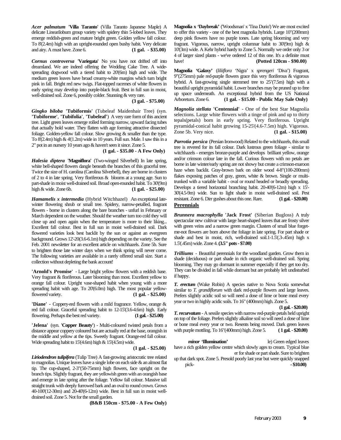*Acer palmatum* **'Villa Taranto'** (Villa Taranto Japanese Maple) A delicate Linearilobum group variety with spidery thin 5-lobed leaves. They emerge reddish-green and mature bright green. Golden yellow fall colour. To 8'(2.4m) high with an upright-rounded open bushy habit. Very delicate and airy. A must have. Zone 6. **(1 gal. - \$35.00)**

*Cornus controversa* **'Variegata'** No you have not drifted off into dreamland. We are indeed offering the Wedding Cake Tree. A widespreading dogwood with a tiered habit to 20'(6m) high and wide. The medium green leaves have broad creamy-white margins which turn bright pink in fall. Bright red new twigs. Flat-topped racemes of white flowers in early spring may develop into purple-black fruit. Best in full sun in moist, well-drained soil. Zone 6, possibly colder. Stunning & very rare.

**(3 gal. - \$75.00)**

*Gingko biloba* **'Tubiformis'** (Tubeleaf Maidenhair Tree) (syn. **'Tubiforme'**, **'Tubifolia'**, **'Tubeleaf'**) A very rare form of this ancient tree. Light green leaves emerge rolled forming narrow, upward facing tubes that actually hold water. They flatten with age forming attractive dissected foliage. Golden-yellow fall colour. Slow growing & smaller than the type. To  $8(2.4m)$  high  $\& 4'(1.2m)$  wide in 10 years. Full sun. Male. I saw this in a 2" pot in an nursery 10 years ago & haven't seen it since. Zone 5.

**(1 gal. - \$35.00 - A Few Only)**

*Halesia diptera* **'Magniflora'** (Two-winged Silverbell) In late spring, white bell-shaped flowers dangle beneath the branches of this graceful tree. Twice the size of H. carolina (Carolina Silverbell), they are borne in clusters of 2 to 4 in late spring. Very floriferous & blooms at a young age. Sun to part-shade in moist well-drained soil. Broad open-rounded habit. To 30'(9m) high & wide. Zone 6b. **(1 gal. - \$25.00)**

*Hamamelis x intermedia* (Hybrid Witchhazel) An exceptional latewinter flowering shrub or small tree. Spidery, narrow-petalled, fragrant flowers - borne in clusters along the bare branches - unfurl in February or March dependent on the weather. Should the weather turn too cold they will close up and open again when the temperature is more to their liking... Excellent fall colour. Best in full sun in moist well-drained soil. Dark flowered varieties look best backlit by the sun or against an evergreen background. Grows 12'-20(3.6-6.1m) high depending on the variety. See the Feb. 2001 newsletter for an excellent article on witchhazels. Zone 5b. Sure to brighten those late winter days when we think spring will never come. The following varieties are available in a rarely offered small size. Start a collection without depleting the bank account!

**'Arnold's Promise'** - Large bright yellow flowers with a reddish base. Very fragrant & floriferous. Later blooming than most. Excellent yellow to orange fall colour. Upright vase-shaped habit when young with a more spreading habit with age. To 20'(6.0m) high. The most popular yellowflowered variety. **(1 gal. - \$25.00)**

**'Diane'** - Coppery-red flowers with a mild fragrance. Yellow, orange & red fall colour. Graceful spreading habit to 12-15'(3.6-4.6m) high. Early flowering. Perhaps the best red variety. **(1 gal. - \$25.00)**

**'Jelena'** (syn. **'Copper Beauty'**) - Multi-coloured twisted petals from a distance appear coppery coloured but are actually red at the base, orangish in the middle and yellow at the tips. Sweetly fragrant. Orange-red fall colour. Wide spreading habit to 15'(4.6m) high & 15'(4.5m) wide.

**(1 gal. - \$25.00)**

*Liriodendron tulipifera* (Tulip Tree) A fast-growing aristocratic tree related to magnolias. Unique leaves have a single lobe on each side & an almost flat tip. The cup-shaped, 2-3"(50-75mm) high flowers, face upright on the branch tips. Slightly fragrant, they are yellowish green with an orangish base and emerge in late spring after the foliage. Yellow fall colour. Massive tall straight trunk with deeply furrowed bark and an oval to round crown. Grows 40-100'(12-30m) and 20-40'(6-12m) wide. Best in full sun in moist welldrained soil. Zone 5. Not for the small garden.

**(B&B 150cm - \$75.00 - A Few Only)**

**Magnolia x 'Daybreak'** ('Woodsman' x 'Tina Durio') We are most excited to offer this variety - one of the best magnolia hybrids. Large 10"(200mm) deep pink flowers have no purple tones. Late spring blooming and very fragrant. Vigorous, narrow, upright columnar habit to 30'(9m) high & 10'(3m) wide. A Kehr hybrid hardy to Zone 5. Normally we order only 3 or 4 of larger sized plants - we've ordered 12 of this one. It's a definite must have! **(Potted 120cm - \$90.00)**

**Magnolia 'Galaxy'** (*liliiflora* 'Nigra' x *sprengeri* 'Diva') Fragrant, 9"(275mm) pale red-purple flowers grace this very floriferous & vigorous hybrid. A fast-growing single stemmed tree to 25'(7.5m) high with a beautiful upright pyramidal habit. Lower branches may be pruned up to free up space underneath. An exceptional hybrid from the US National Arboretum. Zone 6. **(1 gal. - \$15.00 - Public May Sale Only)**

*Magnolia stellata* **'Centennial'** - One of the best Star Magnolia selections. Large white flowers with a tinge of pink and up to thirty tepals(petals) born in early spring. Very floriferous. Upright pyramidal-conical habit growing 15-25'(4.6-7.5m) high. Vigorous. Zone 5b. Very nice. **(1 gal. - \$15.00)**

*Parrotia persica* (Persian Ironwood) Related to the witchhazels, this small tree is revered for its fall colour. Dark lustrous green foliage - similar to witchhazels - emerges bronze-purple and develops brilliant yellow, orange and/or crimson colour late in the fall. Curious flowers with no petals are borne in late winter/early spring are not showy but create a crimson-maroon haze when backlit. Gray-brown bark on older wood 4-8"(100-200mm) flakes exposing patches of gray, green, white & brown. Single or multitrunked with a variable habit - oval or round headed or broadly spreading. Develops a tiered horizontal branching habit. 20-40'(6-12m) high x 15'- 30'(4.5-9m) wide. Sun to light shade in moist well-drained soil. Pest resistant. Zone 6. Dirr gushes about this one. Rare. **(1 gal. - \$20.00) Perennials**

*Brunnera macrophylla* **'Jack Frost'** (Siberian Bugloss) A truly spectacular new cultivar with large heart-shaped leaves that are frosty silver with green veins and a narrow green margin. Clusters of small blue forgetme-not flowers are born above the foliage in late spring. For part shade or shade and best in moist, rich, well-drained soil.1-1.5'(.3-.45m) high x 1.5'(.45m) wide. Zone 4. **(3.5" pots - \$7.00)**

*Trilliums* - Beautiful perennials for the woodland garden. Grow them in shade (deciduous) or part shade in rich organic well-drained soil. Spring blooming. They may go dormant in summer especially if they get too dry. They can be divided in fall while dormant but are probably left undisturbed if happy.

*T. erectum* (Wake Robin) A species native to Nova Scotia somewhat similar to *T. grandiflorum* with dark red-purple flowers and large leaves. Prefers slightly acidic soil so will need a dose of lime or bone meal every year or two in highly acidic soils. To 16" (400mm) high. Zone 5.

**(1 gal. - \$20.00)**

*T. recurvatum* - A sessile species with narrow red-purple petals held upright on top of the foliage. Prefers slightly alkaline soil so will need a dose of lime or bone meal every year or two. Resents being moved. Dark green leaves with purple mottling. To 16"(400mm) high. Zone 5. **( 1 gal. - \$20.00)**

*minor* **'Illumination'** le) Green edged leaves have a rich golden yellow centre which slowly ages to cream. Typical blue er for shade or part shade. Sure to brighten up that dark spot. Zone 5. Presold poorly last year but were quickly snapped

pick- **- \$10.00)**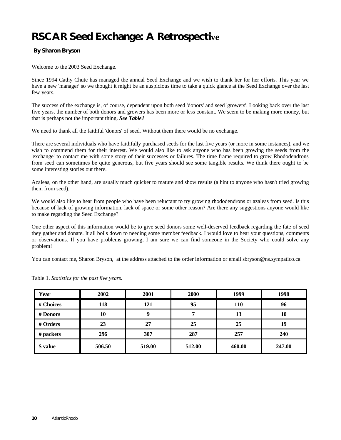# **RSCAR Seed Exchange: A Retrospective**

#### **By Sharon Bryson**

Welcome to the 2003 Seed Exchange.

Since 1994 Cathy Chute has managed the annual Seed Exchange and we wish to thank her for her efforts. This year we have a new 'manager' so we thought it might be an auspicious time to take a quick glance at the Seed Exchange over the last few years.

The success of the exchange is, of course, dependent upon both seed 'donors' and seed 'growers'. Looking back over the last five years, the number of both donors and growers has been more or less constant. We seem to be making more money, but that is perhaps not the important thing. *See Table1*

We need to thank all the faithful 'donors' of seed. Without them there would be no exchange.

There are several individuals who have faithfully purchased seeds for the last five years (or more in some instances), and we wish to commend them for their interest. We would also like to ask anyone who has been growing the seeds from the 'exchange' to contact me with some story of their successes or failures. The time frame required to grow Rhododendrons from seed can sometimes be quite generous, but five years should see some tangible results. We think there ought to be some interesting stories out there.

Azaleas, on the other hand, are usually much quicker to mature and show results (a hint to anyone who hasn't tried growing them from seed).

We would also like to hear from people who have been reluctant to try growing rhododendrons or azaleas from seed. Is this because of lack of growing information, lack of space or some other reason? Are there any suggestions anyone would like to make regarding the Seed Exchange?

One other aspect of this information would be to give seed donors some well-deserved feedback regarding the fate of seed they gather and donate. It all boils down to needing some member feedback. I would love to hear your questions, comments or observations. If you have problems growing, I am sure we can find someone in the Society who could solve any problem!

You can contact me, Sharon Bryson, at the address attached to the order information or email sbryson@ns.sympatico.ca

| Year      | 2002   | 2001   | 2000   | 1999   | 1998   |
|-----------|--------|--------|--------|--------|--------|
| # Choices | 118    | 121    | 95     | 110    | 96     |
| # Donors  | 10     | 9      | 7      | 13     | 10     |
| # Orders  | 23     | 27     | 25     | 25     | 19     |
| # packets | 296    | 307    | 287    | 257    | 240    |
| \$ value  | 506.50 | 519.00 | 512.00 | 460.00 | 247.00 |

Table 1. *Statistics for the past five years.*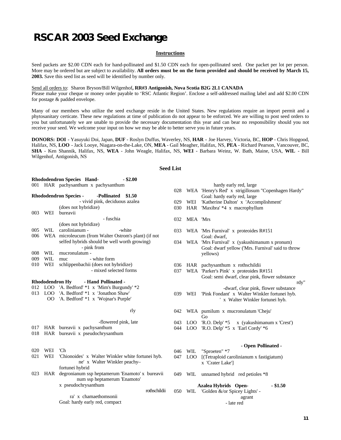### **RSCAR 2003 Seed Exchange**

#### **Instructions**

Seed packets are \$2.00 CDN each for hand-pollinated and \$1.50 CDN each for open-pollinated seed. One packet per lot per person. More may be ordered but are subject to availability. **All orders must be on the form provided and should be received by March 15, 2003.** Save this seed list as seed will be identified by number only.

Send all orders to: Sharon Bryson/Bill Wilgenhof**, RR#3 Antigonish, Nova Scotia B2G 2L1 CANADA** Please make your cheque or money order payable to 'RSC Atlantic Region'. Enclose a self-addressed mailing label and add \$2.00 CDN for postage & padded envelope.

Many of our members who utilize the seed exchange reside in the United States. New regulations require an import permit and a phytosanitary certicate. These new regulations at time of publication do not appear to be enforced. We are willing to post seed orders to you but unfortunately we are unable to provide the necessary documentation this year and can bear no responsibility should you not receive your seed. We welcome your input on how we may be able to better serve you in future years.

**DONORS: DOI** - Yasuyuki Doi, Japan, **DUF** - Roslyn Duffus, Waverley, NS, **HAR -** Joe Harvey, Victoria, BC, **HOP** - Chris Hopgood, Halifax, NS, **LOO** - Jack Looye, Niagara-on-the-Lake, ON, **MEA** - Gail Meagher, Halifax, NS, **PEA** - Richard Pearson, Vancouver, BC, **SHA** - Ken Shannik, Halifax, NS, **WEA** - John Weagle, Halifax, NS, **WEI** - Barbara Weinz, W. Bath, Maine, USA, **WIL** - Bill Wilgenhof, Antigonish, NS

#### **Seed List**

|                                             |                        | Rhododendron Species Hand-<br>$-$ \$2.00             |      |            |                                                     |
|---------------------------------------------|------------------------|------------------------------------------------------|------|------------|-----------------------------------------------------|
|                                             |                        | 001 HAR pachysanthum x pachysanthum                  |      |            | hardy early red, large                              |
|                                             |                        |                                                      | 028  |            | WEA 'Henry's Red' x strigillosum "Copenhagen Hardy" |
|                                             |                        | -Pollinated \$1.50<br><b>Rhododendron Species -</b>  |      |            | Goal: hardy early red, large                        |
|                                             |                        | - vivid pink, deciduous azalea                       | 029  | WEI        | 'Katherine Dalton' x 'Accomplishment'               |
|                                             |                        | (does not hybridize)                                 | 030  |            | HAR 'Maxibra' *4 x macrophyllum                     |
| 003                                         | WEI                    | bureavii                                             |      |            |                                                     |
|                                             |                        | - fuschia                                            | 032  | MEA 'Mrs   |                                                     |
|                                             |                        | (does not hybridize)                                 |      |            |                                                     |
| 005                                         | WIL                    | carolinianum -<br>-white                             | 033  |            | WEA 'Mrs Furnival' x proteoides R#151               |
| 006                                         |                        | WEA microleucum (from Walter Ostrom's plant) (if not |      |            | Goal: dwarf.                                        |
|                                             |                        | selfed hybrids should be well worth growing)         | 034  |            | WEA 'Mrs Furnival' x (yakushimanum x pronum)        |
|                                             |                        | - pink from                                          |      |            | Goal: dwarf yellow ('Mrs. Furnival' said to throw   |
| 008                                         | WIL                    | mucronulatum -                                       |      |            | yellows)                                            |
| 009                                         | <b>WIL</b>             | - white form<br>muc                                  |      |            |                                                     |
| 010                                         | WEI                    | schlippenbachii (does not hybridize)                 | 036  |            | HAR pachysanthum x rothschildii                     |
|                                             |                        | - mixed selected forms                               | 037  |            | WEA 'Parker's Pink' x proteoides R#151              |
|                                             |                        |                                                      |      |            | Goal: semi dwarf, clear pink, flower substance      |
|                                             | <b>Rhododendron Hy</b> | - Hand Pollinated -                                  |      |            | rdy"                                                |
|                                             |                        | 012 LOO 'A. Bedford' *1 x 'Mim's Burgundy' *2        |      |            | -dwarf, clear pink, flower substance                |
| 013                                         |                        | LOO 'A. Bedford' *1 x 'Jonathon Shaw'                | 039  | WEI        | 'Pink Fondant' x Walter Winkler fortunei hyb.       |
|                                             | OO                     | 'A. Bedford' *1 x 'Wojnar's Purple'                  |      |            | ' x Walter Winkler fortunei hyb.                    |
|                                             |                        |                                                      |      |            |                                                     |
|                                             |                        | rly                                                  | 042  |            | WEA pumilum x mucronulatum 'Cheju'                  |
|                                             |                        |                                                      |      |            | Go                                                  |
|                                             |                        | -flowered pink, late                                 | 043  | LOO        | $R.O.$ Delp' $*5$<br>x (yakushimanum x 'Crest')     |
| 017                                         |                        | HAR bureavii x pachysanthum                          |      | 044 LOO    | 'R.O. Delp' $*5$ x 'Earl Cordy' $*6$                |
| 018                                         |                        | HAR bureavii x pseudochrysanthum                     |      |            |                                                     |
|                                             |                        |                                                      |      |            |                                                     |
|                                             |                        |                                                      |      |            | - Open Pollinated -                                 |
| 020                                         | WEI                    | 'Ch                                                  | 046  | WIL        | "Sproeten" *7                                       |
| 021                                         | WEI                    | 'Chionoides' x Walter Winkler white fortunei hyb.    | 047  | <b>LOO</b> | [(Tetraploid carolinianum x fastigiatum)            |
|                                             |                        | ne' x Walter Winkler peachy-                         |      |            | x 'Crater Lake']                                    |
|                                             |                        | fortunei hybrid                                      |      |            |                                                     |
| 023                                         |                        | HAR degronianum ssp heptamerum 'Enamoto' x bureavii  | 049. |            | WIL unnamed hybrid red petioles *8                  |
|                                             |                        | num ssp heptamerum 'Enamoto'                         |      |            |                                                     |
| x pseudochrysanthum<br>Azalea Hybrids Open- |                        | $-$ \$1.50                                           |      |            |                                                     |
|                                             |                        | rothschildii                                         | 050  | WIL        | 'Golden &/or Spicey Lights' -                       |
|                                             |                        | ra' x chamaethomsonii                                |      |            | agrant                                              |
|                                             |                        | Goal: hardy early red, compact                       |      |            | - late red                                          |
|                                             |                        |                                                      |      |            |                                                     |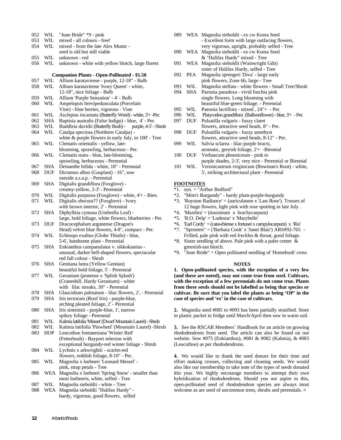| 052        | WIL        | "June Bride" *9 - pink                                                                        |
|------------|------------|-----------------------------------------------------------------------------------------------|
| 053        | WIL        | mixed - all colours - free!                                                                   |
| 054        | WIL        | mixed - from the late Alex Muntz -                                                            |
|            |            | seed is old but still viable                                                                  |
| 055        | WIL        | unknown - red                                                                                 |
| 056        | WIL        | unknown - white with yellow blotch, large florets                                             |
|            |            | <b>Companion Plants - Open-Pollinated - \$1.50</b>                                            |
| 057        | WIL        | Allium karataviense - purple, 12-18" - Bulb                                                   |
| 058        | WIL        | Allium karataviense 'Ivory Queen' - white,                                                    |
|            |            | 12-18", nice foliage - Bulb                                                                   |
| 059        | WIL        | Allium 'Purple Sensation' - 4' - Bulb                                                         |
| 060        | WIL        | Ampelopsis brevipedunculata (Porcelain<br>Vine) - blue berries, vigorous - Vine               |
| 061        | WIL        | Asclepias incarnata (Butterfly Weed) - white, 3'+ -Per.                                       |
| 062        | <b>SHA</b> | Baptisia australis (False Indigo) - blue, 4' - Per.                                           |
| 063        | WIL        | Buddleia davidii (Butterfly Bush) -<br>purple, 4-5' - Shrub                                   |
| 064        | WIL        | Catalpa speciosa (Northern Catalpa) -                                                         |
|            |            | white & purple flowers in early July, to 100' - Tree                                          |
| 065        | WIL        | Clematis orientalis - yellow, late-                                                           |
|            |            | blooming, sprawling, herbaceous - Per.                                                        |
| 066        | WIL        | Clematis stans - blue, late-blooming,                                                         |
|            |            | sprawling, herbaceous - Perennial                                                             |
| 067        | <b>SHA</b> | Deinanthe bifida - white, 18" - Perennial                                                     |
| 068        | DUF        | Dictamus albus (Gasplant) - 16", sow                                                          |
| 069        | SHA        | outside a.s.a.p. - Perennial<br>Digitalis grandiflora (Foxglove) -                            |
|            |            | creamy-yellow, 2-3' - Perennial                                                               |
| 070        | WIL        | Digitalis purpurea (Foxglove) - white, 4'+ - Bien.                                            |
| 071        | WIL        | Digitalis obscura?? (Foxglove) - Ivory                                                        |
|            |            | with brown interior, 2' - Perennial                                                           |
| 072        | <b>SHA</b> | Diphylleia cymosa (Umbrella Leaf) -                                                           |
|            |            | large, bold foliage, white flowers, blueberries - Per.                                        |
| 073        | DUF        | Dracocephalum argunense (Dragon's                                                             |
|            |            | Head) velvet blue flowers, 4-8", compact - Per.                                               |
| 074        | WIL        | Echinops exaltus (Globe Thistle) - blue,                                                      |
| 075        | SHA        | 5-6', handsome plant - Perennial                                                              |
|            |            | Enkianthus campanulatus v. sikkokianius -<br>unusual, darker bell-shaped flowers, spectacular |
|            |            | red fall colour - Shrub                                                                       |
| 076        | SHA        | Gentiana lutea (Yellow Gentian)                                                               |
|            |            | beautiful bold foliage, 5' - Perennial                                                        |
| 077        | WIL        | Geranium (pratense x 'Splish Splash')                                                         |
|            |            | (Cranesbill, Hardy Geranium) - white                                                          |
|            |            | with lilac streaks, 30" - Perennial                                                           |
| 078        | <b>SHA</b> | Glaucidium palmatum - lilac flowers, 2', - Perennial                                          |
| 079        | <b>SHA</b> | Iris tectorum (Roof Iris) - purple-blue,                                                      |
|            |            | arching pleated foliage, 2' - Perennial                                                       |
| 080        | <b>SHA</b> | Iris sintenisii - purple-blue, 1', narrow                                                     |
| 081        | WIL        | spikey foliage - Perennial<br>Kalmia latifolia 'Minuet' (Dwarf Mountain Laurel) - Shrub       |
| 082        | WIL        | Kalmia latifolia 'Pinwheel' (Mountain Laurel) -Shrub                                          |
| 083        | HOP        | Leucothoe fontanesiana 'Winter Red'                                                           |
|            |            | (Fetterbush) - Bayport selecton with                                                          |
|            |            | exceptional burgundy-red winter foliage - Shrub                                               |
| 084        | <b>WIL</b> | Lychnis x arkwrightii - scarlet-red                                                           |
|            |            | flowers, reddish foliage, 8-10" - Per.                                                        |
| 085        | WIL        | Magnolia x loebneri 'Leonard Messel' -                                                        |
|            |            | pink, strap petals - Tree                                                                     |
| 086        | WEA        | Magnolia x loebneri 'Spring Snow' - smaller than                                              |
|            |            | most loebneris, white, selfed - Tree                                                          |
| 087<br>088 | WIL<br>WEA | Magnolia sieboldii - white - Tree<br>Magnolia sieboldii "Halifax Hardy" -                     |
|            |            |                                                                                               |

hardy, vigorous, good flowers, selfed

| 089 | WEA Magnolia sieboldii - ex cw Korea Seed      |
|-----|------------------------------------------------|
|     | - Excellent form with large outfacing flowers, |
|     | very vigorous, upright, probably selfed - Tree |
| 090 | WEA Magnolia sieboldii - ex cw Korea Seed      |
|     | & "Halifax Hardy" mixed - Tree                 |

- 091 WEA Magnolia sieboldii (Wainwright Gdn) sister of Halifax Hardy, selfed - Tree
- 092 PEA Magnolia sprengeri 'Diva' large early pink flowers, Zone 6b, large - Tree
- 093 WIL Magnolia stellata white flowers Small Tree/Shrub
- 094 SHA Paeonia paradoxa vivid fuschia pink single flowers. Long blooming with beautiful blue-green foliage. - Perennial<br>095 WIL Paeonia lactiflora - mixed, 24"+ - Per.
- Paeonia lactiflora mixed , 24"+ Per.
- 096 WIL Platycodon grandiflora (Balloonflower) blue, 3'+ Per.
- 097 DUF Pulsatilla vulgaris fuzzy claret flowers, attractive seed heads, 8" - Per.
- 098 DUF Pulsatilla vulgaris fuzzy amethyst flowers, attractive seed heads, 8-12" - Per.
- 099 WIL Salvia sclarea lilac-purple bracts,
- aromatic, greyish foliage, 2'+ -Biennial<br>DUF Verbascum phoeniceum pink to 100 DUF Verbascum phoeniceum - pink to purple shades, 2-3', very nice - Perennial or Biennial
- 101 WIL Veronicastrum virginicum (Bowman's Root) white, 5', striking architectural plant - Perennial

#### **FOOTNOTES**

- \*1. syn. = "Arthur Bedford"
- \*2. "Mim's Burgundy" hardy plum-purple-burgundy
- $*3$ . 'Royston Radiance' = (auriculatum x 'Last Rose'). Trusses of 12 huge flowers, light pink with rose spotting in late July .
- $*4$ . 'Maxibra' = (maximum x brachycarpum)
- \*5. 'R.O. Delp' = 'Lodestar' x 'Marybelle'
- $*6$ . 'Earl Cordy' = (catawbiense x fortunei x campylocarpum) x 'Rio'
- \*7. "Sproeten" = ('Barbara Cook' x 'Janet Blair') ARS#92-765 Frilled, pale pink with red freckles & throat, good foliage.
- \*8. Sister seedling of above. Pale pink with a paler center & greenish-tan blotch.
- \*9. "June Bride" = Open pollinated seedling of 'Homebush' cross

#### **NOTES**

**1. Open-pollinated species, with the exception of a very few (and these are noted), may not come true from seed. Cultivars, with the exception of a few perennials do not come true. Plants from these seeds should not be labelled as being that species or cultivar. Be sure that you label the plants as being 'OP' in the case of species and 'ex' in the case of cultivars.**

**2.** Magnolia seed #085 to #093 has been partially stratified. Store in plastic packet in fridge until March/April then sow in warm soil.

**3.** See the RSCAR Members' Handbook for an article on growing rhododendrons from seed. The article can also be found on our website. Sow #075 (Enkianthus), #081 & #082 (Kalmia), & #083 (Leucothoe) as per rhododendrons.

**4.** We would like to thank the seed donors for their time and effort making crosses, collecting and cleaning seeds. We would also like our membership to take note of the types of seeds donated this year. We highly encourage members to attempt their own hybridization of rhododendrons. Should you not aspire to this, open-pollinated seed of rhododendron species are always most welcome as are seed of uncommon trees, shrubs and perennials.  $\alpha$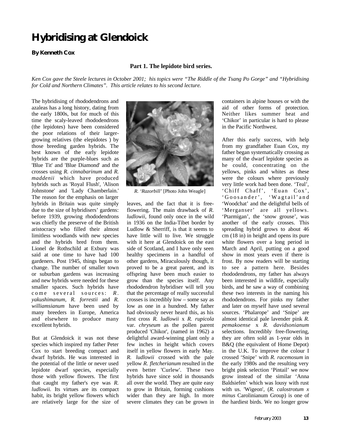# **Hybridising at Glendoick**

#### **By Kenneth Cox**

#### **Part 1. The lepidote bird series.**

*Ken Cox gave the Steele lectures in October 2001; his topics were "The Riddle of the Tsang Po Gorge" and "Hybridising for Cold and Northern Climates". This article relates to his second lecture.*

The hybridising of rhododendrons and azaleas has a long history, dating from the early 1800s, but for much of this time the scaly-leaved rhododendrons (the lepidotes) have been considered the poor relations of their largergrowing relatives (the elepidotes ) by those breeding garden hybrids. The best known of the early lepidote hybrids are the purple-blues such as 'Blue Tit' and 'Blue Diamond' and the crosses using *R. cinnabarinum* and *R. maddenii* which have produced hybrids such as 'Royal Flush', 'Alison Johnstone' and 'Lady Chamberlain.' The reason for the emphasis on larger hybrids in Britain was quite simply due to the size of hybridisers' gardens: before 1939, growing rhododendrons was chiefly the preserve of the British aristocracy who filled their almost limitless woodlands with new species and the hybrids bred from them. Lionel de Rothschild at Exbury was said at one time to have had 100 gardeners. Post 1945, things began to change. The number of smaller town or suburban gardens was increasing and new hybrids were needed for these smaller spaces. Such hybrids have come several sources: *R . yakushimanum, R. forrestii* and *R. williamsianum* have been used by many breeders in Europe, America and elsewhere to produce many excellent hybrids.

But at Glendoick it was not these species which inspired my father Peter Cox to start breeding compact and dwarf hybrids. He was interested in the potential of the little or never used lepidote dwarf species, especially those with yellow flowers. The first that caught my father's eye was *R. ludlowii.* Its virtues are its compact habit, its bright yellow flowers which are relatively large for the size of



*R. 'Razorbill'* [Photo John Weagle]

leaves, and the fact that it is freeflowering. The main drawback of *R. ludlowii*, found only once in the wild in 1936 on the India-Tibet border by Ludlow & Sherriff, is that it seems to have little will to live. We struggle with it here at Glendoick on the east side of Scotland, and I have only seen healthy specimens in a handful of other gardens, Miraculously though, it proved to be a great parent, and its offspring have been much easier to grow than the species itself. Any rhododendron hybridiser will tell you that the percentage of really successful crosses is incredibly low – some say as low as one in a hundred. My father had obviously never heard this, as his first cross *R. ludlowii* x *R. rupicola* var. *chryseum* as the pollen parent produced 'Chikor', (named in 1962) a delightful award-winning plant only a few inches in height which covers itself in yellow flowers in early May*. R. ludlowii* crossed with the pale yellow *R. fletcherianum* resulted in the even better 'Curlew'. These two hybrids have since sold in thousands all over the world. They are quite easy to grow in Britain, forming cushions wider than they are high. In more severe climates they can be grown in

containers in alpine houses or with the aid of other forms of protection. Neither likes summer heat and 'Chikor' in particular is hard to please in the Pacific Northwest.

After this early success, with help from my grandfather Euan Cox, my father began systematically crossing as many of the dwarf lepidote species as he could, concentrating on the yellows, pinks and whites as these were the colours where previously very little work had been done. 'Teal', 'Chiff Chaff', 'Euan Cox', 'Goosander', 'Wagtail'an d 'Woodchat' and the delightful bells of 'Merganser' are all yellows. 'Ptarmigan', the 'snow grouse', was another of the early crosses. This spreading hybrid grows to about 46 cm (18 in) in height and opens its pure white flowers over a long period in March and April, putting on a good show in most years even if there is frost. By now readers will be starting to see a pattern here. Besides rhododendrons, my father has always been interested in wildlife, especially birds, and he saw a way of combining these two interests in the naming his rhododendrons. For pinks my father and later on myself have used several sources. 'Phalarope' and 'Snipe' are almost identical pale lavender pink *R. pemakoense* x *R. davidsonianum* selections. Incredibly free-flowering, they are often sold as 1-year olds in B&Q (the equivalent of Home Depot) in the U.K. To improve the colour I crossed 'Snipe' with *R. racemosum* in the early 1980s and the resulting very bright pink selection 'Pintail' we now grow instead of the similar 'Anna Baldsiefen' which was lousy with rust with us. 'Wigeon', (*R. calostrotum x minus* Carolinianum Group) is one of the hardiest birds. We no longer grow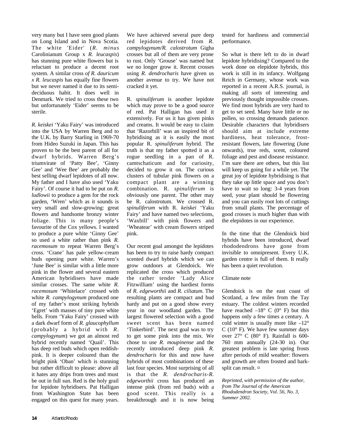very many but I have seen good plants on Long Island and in Nova Scotia. The white 'Eider' (*R. minus* Carolinianum Group x *R. leucaspis*) has stunning pure white flowers but is reluctant to produce a decent root system. A similar cross *of R. dauricum x R. leucaspis* has equally fine flowers but we never named it due to its semideciduous habit. It does well in Denmark. We tried to cross these two but unfortunately 'Eider' seems to be sterile.

*R. keiskei* 'Yaku Fairy' was introduced into the USA by Warren Berg and to the U.K. by Barry Starling in 1969-70 from Hideo Suzuki in Japan. This has proven to be the best parent of all for dwarf hybrids. Warren Berg's triumvirate of 'Patty Bee', 'Ginny Gee' and 'Wee Bee' are probably the best selling dwarf lepidotes of all now. My father and I have also used 'Yaku Fairy'. Of course it had to be put on *R. ludlowii* to produce a gem for the rock garden, 'Wren' which as it sounds is very small and slow-growing: great flowers and handsome bronzy winter foliage. This is many people's favourite of the Cox yellows. I wanted to produce a pure white 'Ginny Gee' so used a white rather than pink *R. racemosum* to repeat Warren Berg's cross. 'Crane' has pale yellow-cream buds opening pure white. Warren's 'June Bee' is similar with a little more pink in the flower and several eastern American hybridisers have made similar crosses. The same white *R. racemosum* 'Whitelace' crossed with white *R. campylogynum* produced one of my father's most striking hybrids 'Egret' with masses of tiny pure white bells. From 'Yaku Fairy' crossed with a dark dwarf form of *R. glaucophyllum* (probably a hybrid with *R. campylogynum*) we got an almost red hybrid recently named 'Quail'. This has deep red buds which open reddishpink. It is deeper coloured than the bright pink 'Oban' which is stunning but rather difficult to please: above all it hates any drips from trees and must be out in full sun. Red is the holy grail for lepidote hybridisers. Pat Halligan from Washington State has been engaged on this quest for many years.

We have achieved several pure deep red lepidotes derived from *R. campylogynum/R. calostrotum* Gigha crosses but all of them are very prone to rust. Only 'Grouse' was named but we no longer grow it. Recent crosses using *R. dendrocharis* have given us another avenue to try. We have not cracked it yet.

R. *spinuliferum* is another lepidote which may prove to be a good source of red. Pat Halligan has used it extensively. For us it has given pinks and creams. It would be easy to claim that 'Razorbill' was an inspired bit of hybridising as it is easily the most popular R. *spinuliferum* hybrid. The truth is that my father spotted it as a rogue seedling in a pan of R. camtschaticum and for curiosity, decided to grow it on. The curious clusters of tubular pink flowers on a compact plant are a winning combination. R. *spinuliferum* is obviously one parent. The other may be R. calostrotum. We crossed R. *spinuliferum* with R. *keiskei* 'Yaku Fairy' and have named two selections, 'Waxbill' with pink flowers and 'Wheatear' with cream flowers striped pink.

Our recent goal amongst the lepidotes has been to try to raise hardy compact scented dwarf hybrids which we can grow outdoors at Glendoick. We replicated the cross which produced the rather tender 'Lady Alice Fitzwilliam' using the hardiest forms of *R. edgeworthii* and *R. ciliatum*. The resulting plants are compact and bud hardy and put on a good show every year in our woodland garden. The largest flowered selection with a good sweet scent has been named 'Tinkerbird'. The next goal was to try to get some pink into the mix. We chose to use *R. moupinense* and the recently introduced deep pink *R. dendrocharis* for this and now have hybrids of most combinations of these last four species. Most surprising of all is that the *R. dendrocharis-R. edgeworthii* cross has produced an intense pink (from red buds) with a good scent. This really is a breakthrough and it is now being

tested for hardiness and commercial performance.

So what is there left to do in dwarf lepidote hybridising? Compared to the work done on elepidote hybrids, this work is still in its infancy. Wolfgang Reich in Germany, whose work was reported in a recent A.R.S. journal, is making all sorts of interesting and previously thought impossible crosses. We find most hybrids are very hard to get to set seed. Many have little or no pollen, so crossing demands patience. Desirable characters that hybridisers should aim at include extreme hardiness, heat tolerance, frostresistant flowers, late flowering (June onwards), true reds, scent, coloured foliage and pest and disease resistance. I'm sure there are others, but this list will keep us going for a while yet. The great joy of lepidote hybridising is that they take up little space and you don't have to wait so long: 3-4 years from seed, your plant should be flowering and you can easily root lots of cuttings from small plants. The percentage of good crosses is much higher than with the elepidotes in our experience.

In the time that the Glendoick bird hybrids have been introduced, dwarf rhododendrons have gone from invisible to omnipresent. Every U.K. garden centre is full of them. It really has been a quiet revolution.

#### Climate note

Glendoick is on the east coast of Scotland, a few miles from the Tay estuary. The coldest winters recorded have reached  $-18^{\circ}$  C (0° F) but this happens only a few times a century. A cold winter is usually more like  $-12^{\circ}$ C ( $10^{\circ}$  F). We have few summer days over 27° C (80° F). Rainfall is 600- 760 mm annually (24-30 in). Our greatest problem is late spring frosts after periods of mild weather: flowers and growth are often frosted and barksplit can result.  $\beta$ 

*Reprinted, with permission of the author, from The Journal of the American Rhododendron Society, Vol. 56, No. 3, Summer 2002.*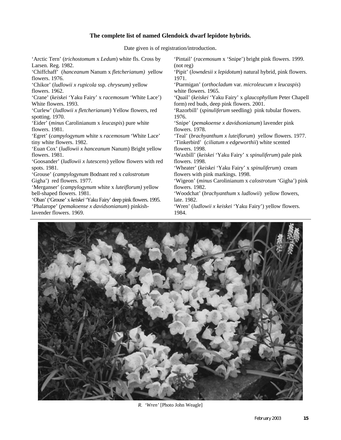#### **The complete list of named Glendoick dwarf lepidote hybrids.**

Date given is of registration/introduction.

'Arctic Tern' (*trichostomum* x *Ledum*) white fls. Cross by Larsen. Reg. 1982. 'Chiffchaff' (*hanceanum* Nanum x *fletcherianum)* yellow flowers. 1976. 'Chikor' (*ludlowii x rupicola* ssp. *chryseum)* yellow flowers. 1962. 'Crane' (*keiskei* 'Yaku Fairy' x *racemosum* 'White Lace') White flowers. 1993. 'Curlew' (*ludlowii x fletcherianum*) Yellow flowers, red spotting. 1970. 'Eider' (*minus* Carolinianum x *leucaspis*) pure white flowers. 1981. 'Egret' (*campylogynum* white x *racemosum* 'White Lace' tiny white flowers. 1982. 'Euan Cox' (*ludlowii x hanceanum* Nanum) Bright yellow flowers. 1981. 'Goosander' (*ludlowii x lutescens*) yellow flowers with red spots. 1981. 'Grouse' (*campylogynum* Bodnant red x *calostrotum* Gigha') red flowers. 1977. 'Merganser' (*campylogynum* white x *luteiflorum)* yellow bell-shaped flowers. 1981. 'Oban' ('Grouse' x *keiskei* 'Yaku Fairy' deep pink flowers. 1995. 'Phalarope' (*pemakoense x davidsonianum*) pinkishlavender flowers. 1969. 'Pintail' (*racemosum* x 'Snipe') bright pink flowers. 1999. (not reg) 'Pipit' (*lowndesii x lepidotum*) natural hybrid, pink flowers. 1971. 'Ptarmigan' (*orthocladum* var*. microleucum x leucaspis*) white flowers. 1965. 'Quail' (*keiskei* 'Yaku Fairy' x *glaucophyllum* Peter Chapell form) red buds, deep pink flowers. 2001. 'Razorbill' (*spinuliferum* seedling) pink tubular flowers. 1976. 'Snipe' (*pemakoense x davidsonianum*) lavender pink flowers. 1978. 'Teal' (*brachyanthum x luteiflorum*) yellow flowers. 1977. 'Tinkerbird' (*ciliatum x edgeworthii*) white scented flowers. 1998. 'Waxbill' (*keiskei* 'Yaku Fairy' x *spinuliferum*) pale pink flowers. 1998. 'Wheater' (*keiskei* 'Yaku Fairy' x *spinuliferum*) cream flowers with pink markings. 1998. 'Wigeon' (*minus* Carolinianum x *calostrotum* 'Gigha') pink flowers. 1982. 'Woodchat' (*brachyanthum* x *ludlowii*) yellow flowers, late. 1982. 'Wren' (*ludlowii x keiskei* 'Yaku Fairy') yellow flowers. 1984.



*R. 'Wren'* [Photo John Weagle]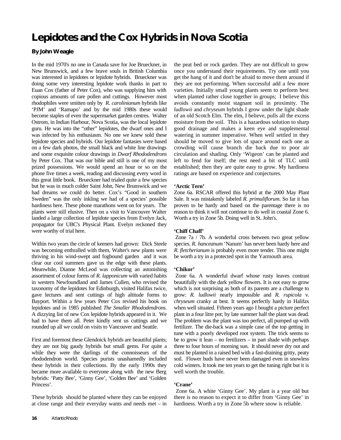# **Lepidotes and the Cox Hybrids in Nova Scotia**

#### **By John Weagle**

In the mid 1970's no one in Canada save for Joe Brueckner, in New Brunswick, and a few brave souls in British Columbia was interested in lepidotes or lepidote hybrids. Brueckner was doing some very interesting lepidote work thanks in part to Euan Cox (father of Peter Cox), who was supplying him with copious amounts of rare pollen and cuttings. However most rhodophiles were smitten only by *R. carolinianum* hybrids like 'PJM' and 'Ramapo' and by the mid 1980s these would become staples of even the supermarket garden centres. Walter Ostrom, in Indian Harbour, Nova Scotia, was the local lepidote guru. He was into the "other" lepidotes, the dwarf ones and I was infected by his enthusiasm. No one we knew sold these lepidote species and hybrids. Our lepidote fantasies were based on a few dark photos, the small black and white line drawings and some exquisite colour drawings in *Dwarf Rhododendrons*  by Peter Cox. That was our bible and still is one of my most prized possessions. We would spend an hour or so on the phone five times a week, reading and discussing every word in this great little book. Brueckner had trialed quite a few species but he was in much colder Saint John, New Brunswick and we had dreams we could do better. Cox's "Good in southern Sweden" was the only inkling we had of a species' possible hardiness here. These phone marathons went on for years. The plants were still elusive. Then on a visit to Vancouver Walter landed a large collection of lepidote species from Evelyn Jack, propagator for UBC's Physical Plant. Evelyn reckoned they were worthy of trial here.

Within two years the circle of keeners had grown: Dick Steele was becoming enthralled with them, Walter's new plants were thriving in his wind-swept and fogbound garden and it was clear our cool summers gave us the edge with these plants. Meanwhile, Dianne McLeod was collecting an astonishing assortment of colour forms of *R. lapponicum* with varied habits in western Newfoundland and James Cullen, who revised the taxonomy of the lepidotes for Edinburgh, visited Halifax twice, gave lectures and sent cuttings of high altitude forms to Bayport. Within a few years Peter Cox revised his book on lepidotes and in 1985 published *The Smaller Rhododendrons*. A dizzying list of new Cox lepidote hybrids appeared in it. We had to have them all. Peter kindly sent us cuttings and we rounded up all we could on visits to Vancouver and Seattle.

First and foremost these Glendoick hybrids are beautiful plants; they are not big gaudy hybrids but small gems. For quite a while they were the darlings of the connoisseurs of the rhododendron world. Species purists unashamedly included these hybrids in their collections. By the early 1990s they became more available to everyone along with the new Berg hybrids: 'Patty Bee', 'Ginny Gee', 'Golden Bee' and 'Golden Princess'.

These hybrids should be planted where they can be enjoyed at close range and their everyday wants and needs met – in the peat bed or rock garden. They are not difficult to grow once you understand their requirements. Try one until you get the hang of it and don't be afraid to move them around if they are not performing. When successful add a few more varieties. Initially small young plants seem to perform best when planted rather close together in groups; I believe this avoids constantly moist stagnant soil in proximity. The *ludlowii* and *chryseum* hybrids I grow under the light shade of an old Scotch Elm. The elm, I believe, pulls all the excess moisture from the soil. This is a hazardous solution to sharp good drainage and makes a keen eye and supplemental watering in summer imperative. When well settled in they should be moved to give lots of space around each one as crowding will cause branch die back due to poor air circulation and shading. Only 'Wigeon' can be planted and left to fend for itself; the rest need a bit of TLC until established; then they are quite easy to grow. My hardiness ratings are based on experience and conjectures.

#### **'Arctic Tern'**

Zone 6a. RSCAR offered this hybrid at the 2000 May Plant Sale. It was mistakenly labeled *R. primuliflorum*. So far it has proven to be hardy and based on the parentage there is no reason to think it will not continue to do well in coastal Zone 6. Worth a try in Zone 5b. Doing well in St. John's.

#### **'Chiff Chaff'**

 Zone 7a / 7b. A wonderful cross between two great yellow species. *R. hanceanum* 'Nanum' has never been hardy here and *R. fletcherianum* is probably even more tender. This one might be worth a try in a protected spot in the Yarmouth area.

#### **'Chikor'**

Zone 6a. A wonderful dwarf whose rusty leaves contrast beautifully with the dark yellow flowers. It is not easy to grow which is not surprising as both of its parents are a challenge to grow: *R. ludlowii* nearly impossible and *R. rupicola* v. *chryseum* cranky at best. It seems perfectly hardy in Halifax when well situated. Fifteen years ago I bought a picture perfect plant in a four litre pot; by late summer half the plant was dead. The problem was the plant was too perfect, all pumped up with fertilizer. The die-back was a simple case of the top getting in tune with a poorly developed root system. The trick seems to be to grow it lean – no fertilizers – in part shade with perhaps three to four hours of morning sun. It should never dry out and must be planted in a raised bed with a fast-draining gritty, peaty soil. Flower buds have never been damaged even in snowless cold winters. It took me ten years to get the tuning right but it is well worth the trouble.

#### **'Crane'**

 Zone 6a. A white 'Ginny Gee'. My plant is a year old but there is no reason to expect it to differ from 'Ginny Gee' in hardiness. Worth a try in Zone 5b where snow is reliable.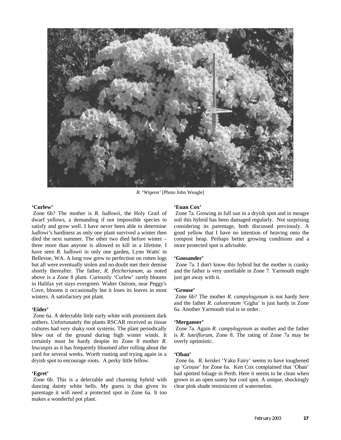

*R. 'Wigeon'* [Photo John Weagle]

#### **'Curlew'**

 Zone 6b? The mother is *R. ludlowii*, the Holy Grail of dwarf yellows, a demanding if not impossible species to satisfy and grow well. I have never been able to determine *ludlowi'*s hardiness as only one plant survived a winter then died the next summer. The other two died before winter – three more than anyone is allowed to kill in a lifetime. I have seen *R. ludlowii* in only one garden, Lynn Watts' in Bellevue, WA. A long row grew to perfection on rotten logs but all were eventually stolen and no doubt met their demise shortly thereafter. The father, *R*. *fletcherianum*, as noted above is a Zone 8 plant. Curiously 'Curlew' rarely blooms in Halifax yet stays evergreen. Walter Ostrom, near Peggy's Cove, blooms it occasionally but it loses its leaves in most winters. A satisfactory pot plant.

#### **'Eider'**

 Zone 6a. A delectable little early white with prominent dark anthers. Unfortunately the plants RSCAR received as tissue cultures had very shaky root systems. The plant periodically blew out of the ground during high winter winds. It certainly must be hardy despite its Zone 8 mother *R. leucaspis* as it has frequently bloomed after rolling about the yard for several weeks. Worth rooting and trying again in a dryish spot to encourage roots. A perky little fellow.

#### **'Egret'**

 Zone 6b. This is a delectable and charming hybrid with dancing dainty white bells. My guess is that given its parentage it will need a protected spot in Zone 6a. It too makes a wonderful pot plant.

#### **'Euan Cox'**

 Zone 7a. Growing in full sun in a dryish spot and in meagre soil this hybrid has been damaged regularly. Not surprising considering its parentage, both discussed previously. A good yellow that I have no intention of heaving onto the compost heap. Perhaps better growing conditions and a more protected spot is advisable.

#### **'Goosander'**

 Zone 7a. I don't know this hybrid but the mother is cranky and the father is very unreliable in Zone 7. Yarmouth might just get away with it.

#### **'Grouse'**

 Zone 6b? The mother *R. campylogynum* is not hardy here and the father *R. calostrotum* 'Gigha' is just hardy in Zone 6a. Another Yarmouth trial is in order.

#### **'Merganser'**

 Zone 7a. Again *R. campylogynum* as mother and the father is *R. luteiflorum*, Zone 8. The rating of Zone 7a may be overly optimistic.

#### **'Oban'**

 Zone 6a. *R. keiskei* 'Yaku Fairy' seems to have toughened up 'Grouse' for Zone 6a. Ken Cox complained that 'Oban' had spotted foliage in Perth. Here it seems to be clean when grown in an open sunny but cool spot. A unique, shockingly clear pink shade reminiscent of watermelon.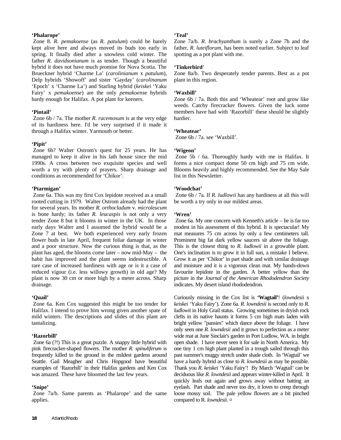#### **'Phalarope'**

 Zone 8. *R. pemakoense* (as *R. patulum*) could be barely kept alive here and always moved its buds too early in spring. It finally died after a snowless cold winter. The father *R. davidsonianum* is as tender. Though a beautiful hybrid it does not have much promise for Nova Scotia. The Brueckner hybrid 'Charme La' (*carolinianum* x *patulum*), Delp hybrids 'Showoff' and sister 'Gayday' (*carolinanum* 'Epoch' x 'Charme La') and Starling hybrid (*keiske*i 'Yaku Fairy' x *pemakoense*) are the only *pemakoens*e hybrids hardy enough for Halifax. A pot plant for keeners.

#### **'Pintail'**

 Zone 6b / 7a. The mother *R. racemosum* is at the very edge of its hardiness here. I'd be very surprised if it made it through a Halifax winter. Yarmouth or better.

#### **'Pipit'**

 Zone 6b? Walter Ostrom's quest for 25 years. He has managed to keep it alive in his lath house since the mid 1990s. A cross between two exquisite species and well worth a try with plenty of prayers. Sharp drainage and conditions as recommended for 'Chikor'.

#### **'Ptarmigan'**

 Zone 6a. This was my first Cox lepidote received as a small rooted cutting in 1979. Walter Ostrom already had the plant for several years. Its mother *R. orthocladum* v. *microleucum* is bone hardy; its father *R. leucaspis* is not only a very tender Zone 8 but it blooms in winter in the UK. In those early days Walter and I assumed the hybrid would be a Zone 7 at best. We both experienced very early frozen flower buds in late April, frequent foliar damage in winter and a poor structure. Now the curious thing is that, as the plant has aged, the blooms come later – now mid-May – the habit has improved and the plant seems indestructible. A rare case of increased hardiness with age or is it a case of reduced vigour (i.e. less willowy growth) in old age? My plant is now 30 cm or more high by a meter across. Sharp drainage.

#### **'Quail'**

 Zone 6a. Ken Cox suggested this might be too tender for Halifax. I intend to prove him wrong given another spate of mild winters. The descriptions and slides of this plant are tantalizing.

#### **'Razorbill'**

 Zone 6a (?!) This is a great puzzle. A snappy little hybrid with pink firecracker-shaped flowers. The mother *R. spinuliferum* is frequently killed to the ground in the mildest gardens around Seattle. Gail Meagher and Chris Hopgood have beautiful examples of 'Razorbill' in their Halifax gardens and Ken Cox was amazed. These have bloomed the last few years.

#### **'Snipe'**

 Zone 7a/b. Same parents as 'Phalarope' and the same applies.

#### **'Teal'**

Zone 7a/b*. R. brachyanthum* is surely a Zone 7b and the father, *R. luteiflorum*, has been noted earlier. Subject to leaf spotting as a pot plant with me.

#### **'Tinkerbird**'

Zone 8a/b. Two desperately tender parents. Best as a pot plant in this region.

#### **'Waxbill'**

Zone 6b / 7a. Both this and 'Wheatear' root and grow like weeds. Catchy firecracker flowers. Given the luck some members have had with 'Razorbill' these should be slightly hardier.

#### **'Wheatear'**

Zone 6b / 7a. see 'Waxbill'.

#### **'Wigeon'**

 Zone 5b / 6a. Thoroughly hardy with me in Halifax. It forms a nice compact dome 50 cm high and 75 cm wide. Blooms heavily and highly recommended. See the May Sale list in this Newsletter.

#### **'Woodchat'**

 Zone 6b / 7a. If *R. ludlowii* has any hardiness at all this will be worth a try only in our mildest areas.

#### **'Wren'**

Zone 6a. My one concern with Kenneth's article – he is far too modest in his assessment of this hybrid. It is spectacular! My mat measures 75 cm across by only a few centimeters tall. Prominent big fat dark yellow saucers sit above the foliage. This is the closest thing to *R. ludlowii* in a growable plant. One's inclination is to grow it in full sun, a mistake I believe. Grow it as per 'Chikor' in part shade and with similar drainage and moisture and it is a vigorous clean mat. My hands-down favourite lepidote in the garden. A better yellow than the picture in the *Journal of the American Rhododendron Society* indicates. My desert island rhododendron.

Curiously missing in the Cox list is **'Wagtail'**! (*lowndesii* x *keiskei* 'Yaku Fairy'). Zone 6a. *R*. *lowndesii* is second only to *R. ludlowii* in Holy Grail status. Growing sometimes in dryish rock clefts in its native haunts it forms 5 cm high mats laden with bright yellow "pansies" which dance above the foliage. I have only seen one *R. lowndesii* and it grows to perfection as a meter wide mat at June Sinclair's garden in Port Ludlow, WA. in bright open shade. I have never seen it for sale in North America. My one tiny 1 cm high plant planted in a trough sailed through this past summer's muggy stretch under shade cloth. In 'Wagtail' we have a hardy hybrid as close to *R. lowndesii* as may be possible. Thank you *R. keiskei* 'Yaku Fairy'! By March 'Wagtail' can be deciduous like *R. lowndesii* and appears winter-killed in April. It quickly leafs out again and grows away without batting an eyelash. Part shade and never too dry, it loves to creep through loose mossy soil. The pale yellow flowers are a bit pinched compared to R. *lowndesii. ¤*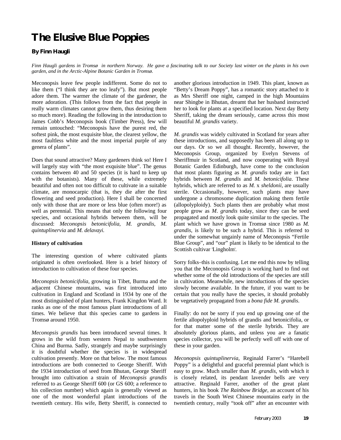### **The Elusive Blue Poppies**

#### **By Finn Haugli**

*Finn Haugli gardens in Tromsø in northern Norway. He gave a fascinating talk to our Society last winter on the plants in his own garden, and in the Arctic-Alpine Botanic Garden in Tromsø.*

Meconopsis leave few people indifferent. Some do not to like them ("I think they are too leafy"). But most people adore them. The warmer the climate of the gardener, the more adoration. (This follows from the fact that people in really warm climates cannot grow them, thus desiring them so much more). Reading the following in the introduction to James Cobb's Meconopsis book (Timber Press), few will remain untouched: "Meconopsis have the purest red, the softest pink, the most exquisite blue, the clearest yellow, the most faultless white and the most imperial purple of any genera of plants".

Does that sound attractive? Many gardeners think so! Here I will largely stay with "the most exquisite blue". The genus contains between 40 and 50 species (it is hard to keep up with the botanists). Many of these, while extremely beautiful and often not too difficult to cultivate in a suitable climate, are monocarpic (that is, they die after the first flowering and seed production). Here I shall be concerned only with those that are more or less blue (often more!) as well as perennial. This means that only the following four species, and occasional hybrids between them, will be discussed: *Meconopsis betonicifolia, M. grandis, M. quintuplinervia* and *M. delavayi.*

#### **History of cultivation**

The interesting question of where cultivated plants originated is often overlooked. Here is a brief history of introduction to cultivation of these four species.

*Meconopsis betonicifolia*, growing in Tibet, Burma and the adjacent Chinese mountains, was first introduced into cultivation in England and Scotland in 1934 by one of the most distinguished of plant hunters, Frank Kingdon Ward. It ranks as one of the most famous plant introductions of all times. We believe that this species came to gardens in Tromsø around 1950.

*Meconopsis grandis* has been introduced several times. It grows in the wild from western Nepal to southwestern China and Burma. Sadly, strangely and maybe surprisingly it is doubtful whether the species is in widespread cultivation presently. More on that below. The most famous introductions are both connected to George Sheriff. With the 1934 introduction of seed from Bhutan, George Sheriff brought into cultivation a strain of *Meconopsis grandis* referred to as George Sheriff 600 (or GS 600; a reference to his collection number) which again is generally viewed as one of the most wonderful plant introductions of the twentieth century. His wife, Betty Sheriff, is connected to another glorious introduction in 1949. This plant, known as "Betty's Dream Poppy", has a romantic story attached to it as Mrs Sheriff one night, camped in the high Mountains near Shingbe in Bhutan, dreamt that her husband instructed her to look for plants at a specified location. Next day Betty Sheriff, taking the dream seriously, came across this most beautiful *M. grandis* variety.

*M. grandis* was widely cultivated in Scotland for years after these introductions, and supposedly has been all along up to our days. Or so we all thought. Recently, however, the Meconopsis Group, organized by Evelyn Stevens of Sheriffmuir in Scotland, and now cooperating with Royal Botanic Garden Edinburgh, have come to the conclusion that most plants figuring as *M. grandis* today are in fact hybrids between *M. grandis* and *M. betonicifolia*. These hybrids, which are referred to as *M*. x *sheldonii,* are usually sterile. Occasionally, however, such plants may have undergone a chromosome duplication making them fertile (allopolyploidy). Such plants then are probably what most people grow as *M*. *grandis* today, since they can be seed propagated and mostly look quite similar to the species. The plant which we have grown in Tromsø since 1980 as *M. grandis*, is likely to be such a hybrid. This is referred to under the somewhat ungainly name of Meconopsis "Fertile Blue Group", and "our" plant is likely to be identical to the Scottish cultivar 'Lingholm'.

Sorry folks–this is confusing. Let me end this now by telling you that the Meconopsis Group is working hard to find out whether some of the old introductions of the species are still in cultivation. Meanwhile, new introductions of the species slowly become available. In the future, if you want to be certain that you really have the species, it should probably be vegetatively propagated from a *bona fide M. grandis*.

Finally: do not be sorry if you end up growing one of the fertile allopolyploid hybrids of grandis and betonicifolia, or for that matter some of the sterile hybrids. They are absolutely glorious plants, and unless you are a fanatic species collector, you will be perfectly well off with one of these in your garden.

*Meconopsis quintuplinervia*, Reginald Farrer's "Harebell Poppy" is a delightful and graceful perennial plant which is easy to grow. Much smaller than *M. grandis*, with which it is closely related, its pendant lavender bells are very attractive. Reginald Farrer, another of the great plant hunters, in his book *The Rainbow Bridge*, an account of his travels in the South West Chinese mountains early in the twentieth century, really "took off" after an encounter with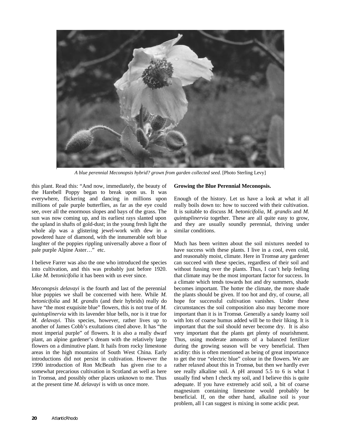

*A blue perennial Meconopsis hybrid? grown from garden collected seed.* [Photo Sterling Levy]

this plant. Read this: "And now, immediately, the beauty of the Harebell Poppy began to break upon us. It was everywhere, flickering and dancing in millions upon millions of pale purple butterflies, as far as the eye could see, over all the enormous slopes and bays of the grass. The sun was now coming up, and its earliest rays slanted upon the upland in shafts of gold-dust; in the young fresh light the whole alp was a glistering jewel-work with dew in a powdered haze of diamond, with the innumerable soft blue laughter of the poppies rippling universally above a floor of pale purple Alpine Aster…" etc.

I believe Farrer was also the one who introduced the species into cultivation, and this was probably just before 1920. Like *M. betonicifolia* it has been with us ever since.

*Meconopsis delavayi* is the fourth and last of the perennial blue poppies we shall be concerned with here. While *M. betonicifolia* and *M. grandis* (and their hybrids) really do have "the most exquisite blue" flowers, this is not true of *M. quintuplinervia* with its lavender blue bells, nor is it true for *M. delavayi*. This species, however, rather lives up to another of James Cobb's exultations cited above. It has "the most imperial purple" of flowers. It is also a really dwarf plant, an alpine gardener's dream with the relatively large flowers on a diminutive plant. It hails from rocky limestone areas in the high mountains of South West China. Early introductions did not persist in cultivation. However the 1990 introduction of Ron McBeath has given rise to a somewhat precarious cultivation in Scotland as well as here in Tromsø, and possibly other places unknown to me. Thus at the present time *M. delavayi* is with us once more.

#### **Growing the Blue Perennial Meconopsis.**

Enough of the history. Let us have a look at what it all really boils down to: how to succeed with their cultivation. It is suitable to discuss *M. betonicifolia*, *M. grandis* and *M*. *quintuplinervia* together. These are all quite easy to grow, and they are usually soundly perennial, thriving under similar conditions.

Much has been written about the soil mixtures needed to have success with these plants. I live in a cool, even cold, and reasonably moist, climate. Here in Tromsø any gardener can succeed with these species, regardless of their soil and without fussing over the plants. Thus, I can't help feeling that climate may be the most important factor for success. In a climate which tends towards hot and dry summers, shade becomes important. The hotter the climate, the more shade the plants should be given. If too hot and dry, of course, all hope for successful cultivation vanishes. Under these circumstances the soil composition also may become more important than it is in Tromsø. Generally a sandy loamy soil with lots of coarse humus added will be to their liking. It is important that the soil should never become dry. It is also very important that the plants get plenty of nourishment. Thus, using moderate amounts of a balanced fertilizer during the growing season will be very beneficial. Then acidity: this is often mentioned as being of great importance to get the true "electric blue" colour in the flowers. We are rather relaxed about this in Tromsø, but then we hardly ever see really alkaline soil. A pH around 5.5 to 6 is what I usually find when I check my soil, and I believe this is quite adequate. If you have extremely acid soil, a bit of coarse magnesium containing limestone would probably be beneficial. If, on the other hand, alkaline soil is your problem, all I can suggest is mixing in some acidic peat.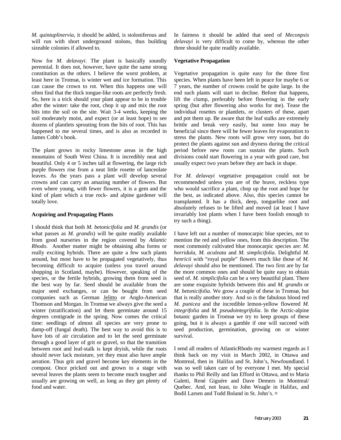*M. quintuplinervia*, it should be added, is stoloniferous and will run with short underground stolons, thus building sizeable colonies if allowed to.

Now for *M. delavayi*. The plant is basically soundly perennial. It does not, however, have quite the same strong constitution as the others. I believe the worst problem, at least here in Tromsø, is winter wet and ice formation. This can cause the crown to rot. When this happens one will often find that the thick tongue-like roots are perfectly fresh. So, here is a trick should your plant appear to be in trouble after the winter: take the root, chop it up and mix the root bits into the soil on the site. Wait 3-4 weeks, keeping the soil moderately moist, and expect (or at least hope) to see dozens of plantlets sprouting from the bits of root. This has happened to me several times, and is also as recorded in James Cobb's book.

The plant grows in rocky limestone areas in the high mountains of South West China. It is incredibly neat and beautiful. Only 4 or 5 inches tall at flowering, the large rich purple flowers rise from a neat little rosette of lanceolate leaves. As the years pass a plant will develop several crowns and can carry an amazing number of flowers. But even where young, with fewer flowers, it is a gem and the kind of plant which a true rock- and alpine gardener will totally love.

#### **Acquiring and Propagating Plants**

I should think that both *M. betonicifolia* and *M. grandis* (or what passes as *M. grandis*) will be quite readily available from good nurseries in the region covered by *Atlantic Rhodo*. Another matter might be obtaining alba forms or really exciting hybrids. There are quite a few such plants around, but most have to be propagated vegetatively, thus becoming difficult to acquire (unless you travel around shopping in Scotland, maybe). However, speaking of the species, or the fertile hybrids, growing them from seed is the best way by far. Seed should be available from the major seed exchanges, or can be bought from seed companies such as German Jelitto or Anglo-American Thomson and Morgan. In Tromsø we always give the seed a winter (stratification) and let them germinate around 15 degrees centigrade in the spring. Now comes the critical time: seedlings of almost all species are very prone to damp-off (fungal death). The best way to avoid this is to have lots of air circulation and to let the seed germinate through a good layer of grit or gravel, so that the transition between root and leaf-stalk is kept dryish, while the roots should never lack moisture, yet they must also have ample aeration. Thus grit and gravel become key elements in the compost. Once pricked out and grown to a stage with several leaves the plants seem to become much tougher and usually are growing on well, as long as they get plenty of food and water.

In fairness it should be added that seed of *Meconpsis delavayi* is very difficult to come by, whereas the other three should be quite readily available.

#### **Vegetative Propagation**

Vegetative propagation is quite easy for the three first species. When plants have been left in peace for maybe 6 or 7 years, the number of crowns could be quite large. In the end such plants will start to decline. Before that happens, lift the clump, preferably before flowering in the early spring (but after flowering also works for me). Tease the individual rosettes or plantlets, or clusters of these, apart and pot them up. Be aware that the leaf stalks are extremely brittle and break very easily, but some loss may be beneficial since there will be fewer leaves for evaporation to stress the plants. New roots will grow very soon, but do protect the plants against sun and dryness during the critical period before new roots can sustain the plants. Such divisions could start flowering in a year with good care, but usually expect two years before they are back in shape.

For *M. delavayi* vegetative propagation could not be recommended unless you are of the brave, reckless type who would sacrifice a plant, chop up the root and hope for the best, as indicated above. Also, this species cannot be transplanted. It has a thick, deep, tonguelike root and absolutely refuses to be lifted and moved (at least I have invariably lost plants when I have been foolish enough to try such a thing).

I have left out a number of monocarpic blue species, not to mention the red and yellow ones, from this description. The most commonly cultivated blue monocarpic species are: *M*. *horridula, M. aculeata* and *M. simplicifolia*. Delightful *M. henricii* with "royal purple" flowers much like those of *M. delavayi* should also be mentioned. The two first are by far the more common ones and should be quite easy to obtain seed of. *M. simplicifolia* can be a very beautiful plant. There are some exquisite hybrids between this and *M. grandis* or *M*. *betonicifolia*. We grow a couple of these in Tromsø, but that is really another story. And so is the fabulous blood red *M. punicea* and the incredible lemon-yellow flowered *M. integrifolia* and *M. pseudointegrifolia*. In the Arctic-alpine botanic garden in Tromsø we try to keep groups of these going, but it is always a gamble if one will succeed with seed production, germination, growing on or winter survival.

I send all readers of AtlanticRhodo my warmest regards as I think back on my visit in March 2002, in Ottawa and Montreal, then in Halifax and St. John's, Newfoundland. I was so well taken care of by everyone I met. My special thanks to Phil Reilly and Ian Efford in Ottawa, and to Maria Galetti, René Giguére and Dave Demers in Montreal/ Quebec. And, not least, to John Weagle in Halifax, and Bodil Larsen and Todd Boland in St. John's. ¤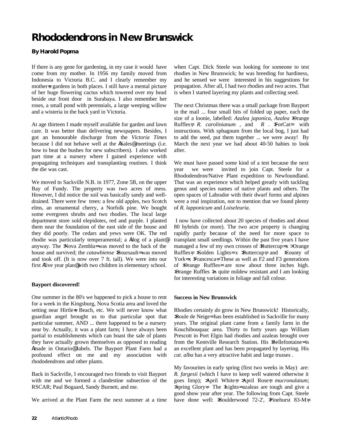# **Rhododendrons in New Brunswick**

#### **By Harold Popma**

If there is any gene for gardening, in my case it would have come from my mother. In 1956 my family moved from Indonesia to Victoria B.C. and I clearly remember my mother=s gardens in both places. I still have a mental picture of her huge flowering cactus which towered over my head beside our front door in Surabaya. I also remember her roses, a small pond with perennials, a large weeping willow and a wisteria in the back yard in Victoria.

At age thirteen I made myself available for garden and lawn care. It was better than delivering newspapers. Besides, I got an honourable discharge from the *Victoria Times* because I did not behave well at the ASales@ meetings (i.e. how to beat the bushes for new subscribers). I also worked part time at a nursery where I gained experience with propagating techniques and transplanting routines. I think the die was cast.

We moved to Sackville N.B. in 1977, Zone 5B, on the upper Bay of Fundy. The property was two acres of mess. However, I did notice the soil was basically sandy and welldrained. There were few trees: a few old apples, two Scotch elms, an ornamental cherry, a Norfolk pine. We bought some evergreen shrubs and two rhodies. The local large department store sold elepidotes, red and purple. I planted them near the foundation of the east side of the house and they did poorly. The cedars and yews were OK. The red rhodie was particularly temperamental; a Adog of a plant@ anyway. The >Nova Zembla= was moved to the back of the house and survived; the *catawbiense* >Boursault= was moved and took off. (It is now over 7 ft. tall). We were into our first Afive year plan@ with two children in elementary school.

#### **Bayport discovered!**

One summer in the 80's we happened to pick a house to rent for a week in the Kingsburg, Nova Scotia area and loved the setting near Hirtles Beach, etc. We will never know what guardian angel brought us to that particular spot that particular summer, AND ... there happened to be a nursery near by. Actually, it was a plant farm; I have always been partial to establishments which can boast the sale of plants they have actually grown themselves as opposed to reading Amade in Ontario@ labels. The Bayport Plant Farm had a profound effect on me and my association with rhododendrons and other plants.

Back in Sackville, I encouraged two friends to visit Bayport with me and we formed a clandestine subsection of the RSCAR; Paul Bogaard, Sandy Burnett, and me.

We arrived at the Plant Farm the next summer at a time

when Capt. Dick Steele was looking for someone to test rhodies in New Brunswick; he was breeding for hardiness, and he sensed we were interested in his suggestions for propagation. After all, I had two rhodies and two acres. That is when I started layering my plants and collecting seed.

The next Christmas there was a small package from Bayport in the mail ... four small bits of folded up paper, each the size of a loonie, labelled: *Azalea japonica*, *Azalea* >Orange Ruffles=*, R. carolinianum* , and *R* . >ForCat= with instructions. With sphagnum from the local bog, I just had to add the seed, put them together ... we were away! By March the next year we had about 40-50 babies to look after.

We must have passed some kind of a test because the next year we were invited to join Capt. Steele for a Rhododendron/Native Plant expedition to Newfoundland. That was an experience which helped greatly with tackling genus and species names of native plants and others. The open spaces of Labrador with their dwarf forms and alpines were a real inspiration, not to mention that we found plenty of *R. lapponicum* and *Loiseleuria*.

 I now have collected about 20 species of rhodies and about 80 hybrids (or more). The two acre property is changing rapidly partly because of the need for more space to transplant small seedlings. Within the past five years I have managed a few of my own crosses of **Buttercup=** x > Orange Ruffles=,  $\delta$ Solden Lights= x  $\delta$ Buttercup=, and  $\delta$ County of York= x  $\overline{\text{Francesca}}$ =. These as well as F2 and F3 generations of >Orange Ruffles= are now about three inches high. >Orange Ruffles >is quite mildew resistant and I am looking for interesting variations in foliage and fall colour.

#### **Success in New Brunswick**

Rhodies certainly *do* grow in New Brunswick! Historically, >Boule de Neige= has been established in Sackville for many years. The original plant came from a family farm in the Kouchibouquac area. Thirty to forty years ago William Prescott in Port Elgin had rhodies and azaleas brought over from the Kentville Research Station. His »Bellefontaine= is an excellent plant and has been propagated by layering. His *cat. alba* has a very attractive habit and large trusses .

My favourites in early spring (first two weeks in May) are: *R. fargesii* (which I have to keep well watered otherwise it goes limp); >April White=; >April Rose=; *mucronulatum*; >Spring Glory=. The >Lights= azaleas are tough and give a good show year after year. The following from Capt. Steele have done well: >Boulderwood 72-2', >Pinehurst 83-M=;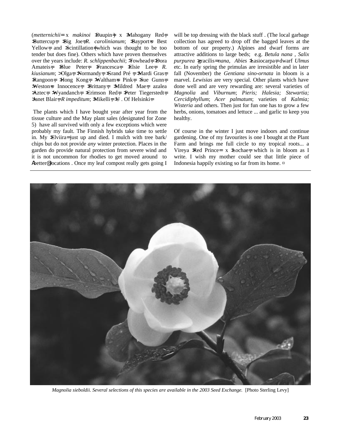(*metternichii*= x *makinoi* >Daupin=) x >Mahogany Red=; >Buttercup=; >Big Joe=;*R*. *carolinianum*; >Bayport=s Best Yellow=; and Scintillation=(which was thought to be too tender but does fine). Others which have proven themselves over the years include: *R. schlippenbachii*; >Towhead=; >Dora Amateis=; >Blue Peter=; >Francesca=; >Elsie Lee=; *R*. *kiusianum*; > Olga=; > Normandy=; > Grand Pré =; > Mardi Gras=; >Rangoon=; >Hong Kong=; >Waltham=s Pink=; >Sue Gunn=; >Weston=s Innocence=; >Brittany=; >Mildred Mae=; azalea >Aztec=; >Wyandanch=; >Crimson Red=; >Peter Tiegerstedt=; >Janet Blair=; *R impeditum*; >Mikelli=; >U . Of Helsinki=.

 The plants which I have bought year after year from the tissue culture and the May plant sales (designated for Zone 5) have all survived with only a few exceptions which were probably my fault. The Finnish hybrids take time to settle in. My >Elviira= just up and died. I mulch with tree bark/ chips but do not provide *any* winter protection. Places in the garden do provide natural protection from severe wind and it is not uncommon for rhodies to get moved around to Abetter@ locations . Once my leaf compost really gets going I will be top dressing with the black stuff. (The local garbage collection has agreed to drop off the bagged leaves at the bottom of our property.) Alpines and dwarf forms are attractive additions to large beds; e.g. *Betula nana* , *Salix purpurea* >gracilis= *nana*, *Abies* >Lasiocarpa=, dwarf *Ulmus* etc. In early spring the primulas are irresistible and in later fall (November) the *Gentiana sino-ornata* in bloom is a marvel. *Lewisias* are very special. Other plants which have done well and are very rewarding are: several varieties of *Magnolia* and *Viburnum*; *Pieris; Halesia; Stewartia; Cercidiphyllum*; *Acer palmatum*; varieties of *Kalmia; Wisteria* and others. Then just for fun one has to grow a few herbs, onions, tomatoes and lettuce ... and garlic to keep you healthy.

Of course in the winter I just move indoors and continue gardening. One of my favourites is one I bought at the Plant Farm and brings me full circle to my tropical roots... a Vireya >Red Prince= x >Lochae=, which is in bloom as I write. I wish my mother could see that little piece of Indonesia happily existing so far from its home. ¤



*Magnolia sieboldii. Several selections of this species are available in the 2003 Seed Exchange.* [Photo Sterling Levy]